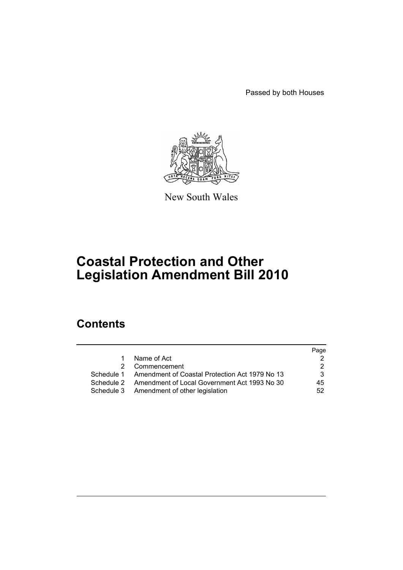Passed by both Houses



New South Wales

# **Coastal Protection and Other Legislation Amendment Bill 2010**

# **Contents**

|            |                                                           | Page |
|------------|-----------------------------------------------------------|------|
| 1.         | Name of Act                                               |      |
| 2          | Commencement                                              |      |
|            | Schedule 1 Amendment of Coastal Protection Act 1979 No 13 | 3.   |
| Schedule 2 | Amendment of Local Government Act 1993 No 30              | 45   |
|            | Schedule 3 Amendment of other legislation                 | 52   |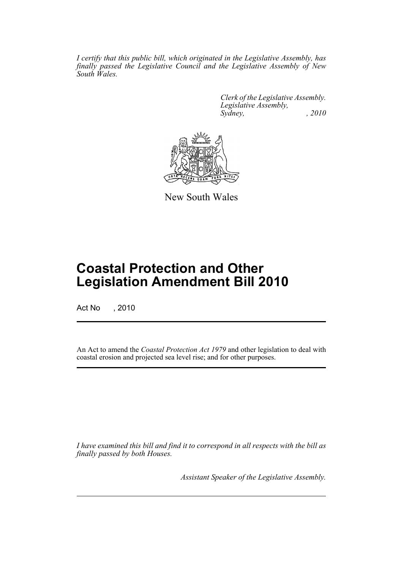*I certify that this public bill, which originated in the Legislative Assembly, has finally passed the Legislative Council and the Legislative Assembly of New South Wales.*

> *Clerk of the Legislative Assembly. Legislative Assembly, Sydney, , 2010*



New South Wales

# **Coastal Protection and Other Legislation Amendment Bill 2010**

Act No , 2010

An Act to amend the *Coastal Protection Act 1979* and other legislation to deal with coastal erosion and projected sea level rise; and for other purposes.

*I have examined this bill and find it to correspond in all respects with the bill as finally passed by both Houses.*

*Assistant Speaker of the Legislative Assembly.*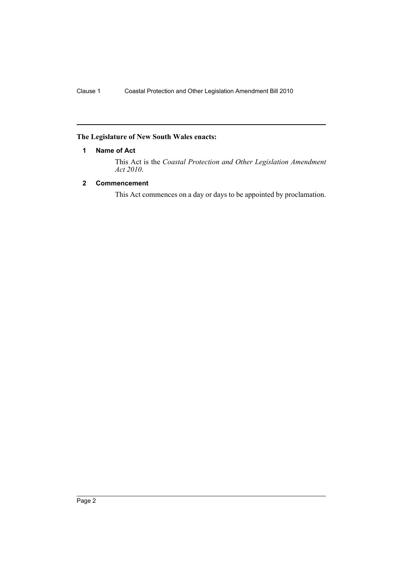# <span id="page-2-0"></span>**The Legislature of New South Wales enacts:**

# **1 Name of Act**

This Act is the *Coastal Protection and Other Legislation Amendment Act 2010*.

# <span id="page-2-1"></span>**2 Commencement**

This Act commences on a day or days to be appointed by proclamation.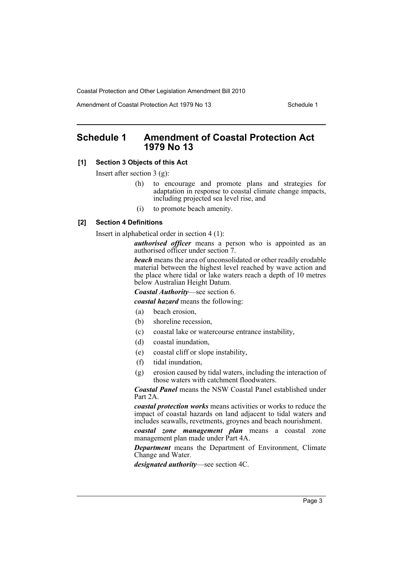Amendment of Coastal Protection Act 1979 No 13 Schedule 1

# <span id="page-3-0"></span>**Schedule 1 Amendment of Coastal Protection Act 1979 No 13**

# **[1] Section 3 Objects of this Act**

Insert after section 3 (g):

- (h) to encourage and promote plans and strategies for adaptation in response to coastal climate change impacts, including projected sea level rise, and
- (i) to promote beach amenity.

#### **[2] Section 4 Definitions**

Insert in alphabetical order in section 4 (1):

*authorised officer* means a person who is appointed as an authorised officer under section 7.

*beach* means the area of unconsolidated or other readily erodable material between the highest level reached by wave action and the place where tidal or lake waters reach a depth of 10 metres below Australian Height Datum.

*Coastal Authority*—see section 6.

*coastal hazard* means the following:

- (a) beach erosion,
- (b) shoreline recession,
- (c) coastal lake or watercourse entrance instability,
- (d) coastal inundation,
- (e) coastal cliff or slope instability,
- (f) tidal inundation,
- (g) erosion caused by tidal waters, including the interaction of those waters with catchment floodwaters.

*Coastal Panel* means the NSW Coastal Panel established under Part 2A.

*coastal protection works* means activities or works to reduce the impact of coastal hazards on land adjacent to tidal waters and includes seawalls, revetments, groynes and beach nourishment.

*coastal zone management plan* means a coastal zone management plan made under Part 4A.

*Department* means the Department of Environment, Climate Change and Water.

*designated authority*—see section 4C.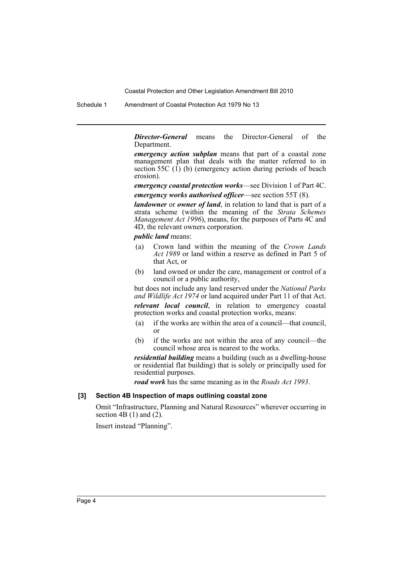Schedule 1 Amendment of Coastal Protection Act 1979 No 13

*Director-General* means the Director-General of the Department.

*emergency action subplan* means that part of a coastal zone management plan that deals with the matter referred to in section 55C  $(1)$  (b) (emergency action during periods of beach erosion).

*emergency coastal protection works*—see Division 1 of Part 4C. *emergency works authorised officer*—see section 55T (8).

*landowner* or *owner of land*, in relation to land that is part of a strata scheme (within the meaning of the *Strata Schemes Management Act 1996*), means, for the purposes of Parts 4C and 4D, the relevant owners corporation.

*public land* means:

- (a) Crown land within the meaning of the *Crown Lands Act 1989* or land within a reserve as defined in Part 5 of that Act, or
- (b) land owned or under the care, management or control of a council or a public authority,

but does not include any land reserved under the *National Parks and Wildlife Act 1974* or land acquired under Part 11 of that Act.

*relevant local council*, in relation to emergency coastal protection works and coastal protection works, means:

- (a) if the works are within the area of a council—that council, or
- (b) if the works are not within the area of any council—the council whose area is nearest to the works.

*residential building* means a building (such as a dwelling-house or residential flat building) that is solely or principally used for residential purposes.

*road work* has the same meaning as in the *Roads Act 1993*.

# **[3] Section 4B Inspection of maps outlining coastal zone**

Omit "Infrastructure, Planning and Natural Resources" wherever occurring in section  $4B(1)$  and  $(2)$ .

Insert instead "Planning".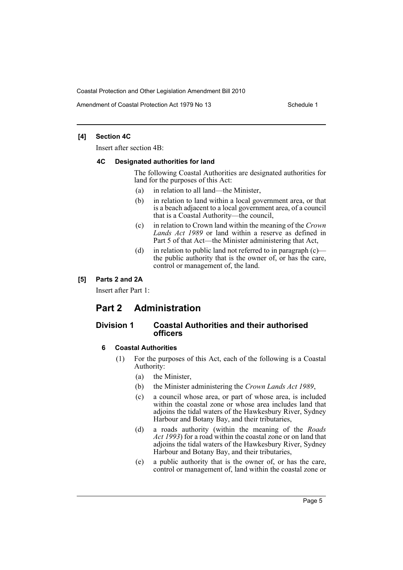Amendment of Coastal Protection Act 1979 No 13 Schedule 1

# **[4] Section 4C**

Insert after section 4B:

#### **4C Designated authorities for land**

The following Coastal Authorities are designated authorities for land for the purposes of this Act:

- (a) in relation to all land—the Minister,
- (b) in relation to land within a local government area, or that is a beach adjacent to a local government area, of a council that is a Coastal Authority—the council,
- (c) in relation to Crown land within the meaning of the *Crown Lands Act 1989* or land within a reserve as defined in Part 5 of that Act—the Minister administering that Act,
- (d) in relation to public land not referred to in paragraph  $(c)$ the public authority that is the owner of, or has the care, control or management of, the land.

# **[5] Parts 2 and 2A**

Insert after Part 1:

# **Part 2 Administration**

# **Division 1 Coastal Authorities and their authorised officers**

# **6 Coastal Authorities**

- (1) For the purposes of this Act, each of the following is a Coastal Authority:
	- (a) the Minister,
	- (b) the Minister administering the *Crown Lands Act 1989*,
	- (c) a council whose area, or part of whose area, is included within the coastal zone or whose area includes land that adjoins the tidal waters of the Hawkesbury River, Sydney Harbour and Botany Bay, and their tributaries,
	- (d) a roads authority (within the meaning of the *Roads Act 1993*) for a road within the coastal zone or on land that adjoins the tidal waters of the Hawkesbury River, Sydney Harbour and Botany Bay, and their tributaries,
	- (e) a public authority that is the owner of, or has the care, control or management of, land within the coastal zone or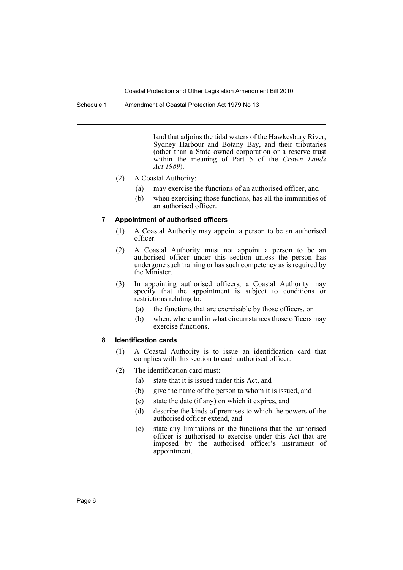Schedule 1 Amendment of Coastal Protection Act 1979 No 13

land that adjoins the tidal waters of the Hawkesbury River, Sydney Harbour and Botany Bay, and their tributaries (other than a State owned corporation or a reserve trust within the meaning of Part 5 of the *Crown Lands Act 1989*).

- (2) A Coastal Authority:
	- (a) may exercise the functions of an authorised officer, and
	- (b) when exercising those functions, has all the immunities of an authorised officer.

#### **7 Appointment of authorised officers**

- (1) A Coastal Authority may appoint a person to be an authorised officer.
- (2) A Coastal Authority must not appoint a person to be an authorised officer under this section unless the person has undergone such training or has such competency as is required by the Minister.
- (3) In appointing authorised officers, a Coastal Authority may specify that the appointment is subject to conditions or restrictions relating to:
	- (a) the functions that are exercisable by those officers, or
	- (b) when, where and in what circumstances those officers may exercise functions.

#### **8 Identification cards**

- (1) A Coastal Authority is to issue an identification card that complies with this section to each authorised officer.
- (2) The identification card must:
	- (a) state that it is issued under this Act, and
	- (b) give the name of the person to whom it is issued, and
	- (c) state the date (if any) on which it expires, and
	- (d) describe the kinds of premises to which the powers of the authorised officer extend, and
	- (e) state any limitations on the functions that the authorised officer is authorised to exercise under this Act that are imposed by the authorised officer's instrument of appointment.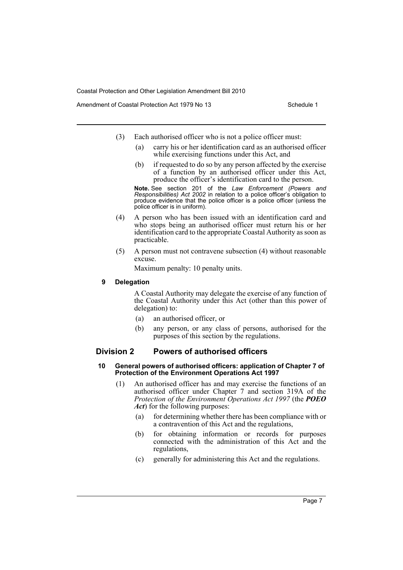Amendment of Coastal Protection Act 1979 No 13 Schedule 1

- (3) Each authorised officer who is not a police officer must:
	- (a) carry his or her identification card as an authorised officer while exercising functions under this Act, and
	- (b) if requested to do so by any person affected by the exercise of a function by an authorised officer under this Act, produce the officer's identification card to the person.

**Note.** See section 201 of the *Law Enforcement (Powers and Responsibilities) Act 2002* in relation to a police officer's obligation to produce evidence that the police officer is a police officer (unless the police officer is in uniform).

- (4) A person who has been issued with an identification card and who stops being an authorised officer must return his or her identification card to the appropriate Coastal Authority as soon as practicable.
- (5) A person must not contravene subsection (4) without reasonable excuse.

Maximum penalty: 10 penalty units.

#### **9 Delegation**

A Coastal Authority may delegate the exercise of any function of the Coastal Authority under this Act (other than this power of delegation) to:

- (a) an authorised officer, or
- (b) any person, or any class of persons, authorised for the purposes of this section by the regulations.

# **Division 2 Powers of authorised officers**

#### **10 General powers of authorised officers: application of Chapter 7 of Protection of the Environment Operations Act 1997**

- (1) An authorised officer has and may exercise the functions of an authorised officer under Chapter 7 and section 319A of the *Protection of the Environment Operations Act 1997* (the *POEO Act*) for the following purposes:
	- (a) for determining whether there has been compliance with or a contravention of this Act and the regulations,
	- (b) for obtaining information or records for purposes connected with the administration of this Act and the regulations,
	- (c) generally for administering this Act and the regulations.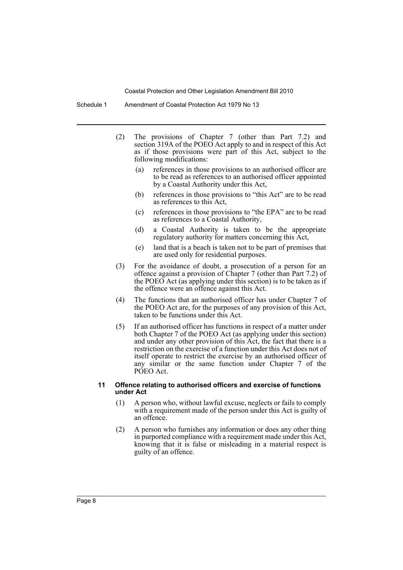Schedule 1 Amendment of Coastal Protection Act 1979 No 13

- (2) The provisions of Chapter 7 (other than Part 7.2) and section 319A of the POEO Act apply to and in respect of this Act as if those provisions were part of this Act, subject to the following modifications:
	- (a) references in those provisions to an authorised officer are to be read as references to an authorised officer appointed by a Coastal Authority under this Act,
	- (b) references in those provisions to "this Act" are to be read as references to this Act,
	- (c) references in those provisions to "the EPA" are to be read as references to a Coastal Authority,
	- (d) a Coastal Authority is taken to be the appropriate regulatory authority for matters concerning this Act,
	- (e) land that is a beach is taken not to be part of premises that are used only for residential purposes.
- (3) For the avoidance of doubt, a prosecution of a person for an offence against a provision of Chapter 7 (other than Part 7.2) of the POEO Act (as applying under this section) is to be taken as if the offence were an offence against this Act.
- (4) The functions that an authorised officer has under Chapter 7 of the POEO Act are, for the purposes of any provision of this Act, taken to be functions under this Act.
- (5) If an authorised officer has functions in respect of a matter under both Chapter 7 of the POEO Act (as applying under this section) and under any other provision of this Act, the fact that there is a restriction on the exercise of a function under this Act does not of itself operate to restrict the exercise by an authorised officer of any similar or the same function under Chapter 7 of the POEO Act.

#### **11 Offence relating to authorised officers and exercise of functions under Act**

- (1) A person who, without lawful excuse, neglects or fails to comply with a requirement made of the person under this Act is guilty of an offence.
- (2) A person who furnishes any information or does any other thing in purported compliance with a requirement made under this Act, knowing that it is false or misleading in a material respect is guilty of an offence.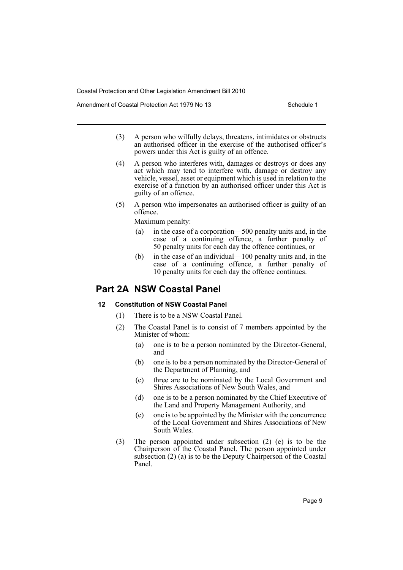Amendment of Coastal Protection Act 1979 No 13 Schedule 1

- (3) A person who wilfully delays, threatens, intimidates or obstructs an authorised officer in the exercise of the authorised officer's powers under this Act is guilty of an offence.
- (4) A person who interferes with, damages or destroys or does any act which may tend to interfere with, damage or destroy any vehicle, vessel, asset or equipment which is used in relation to the exercise of a function by an authorised officer under this Act is guilty of an offence.
- (5) A person who impersonates an authorised officer is guilty of an offence.

Maximum penalty:

- (a) in the case of a corporation—500 penalty units and, in the case of a continuing offence, a further penalty of 50 penalty units for each day the offence continues, or
- (b) in the case of an individual—100 penalty units and, in the case of a continuing offence, a further penalty of 10 penalty units for each day the offence continues.

# **Part 2A NSW Coastal Panel**

# **12 Constitution of NSW Coastal Panel**

- (1) There is to be a NSW Coastal Panel.
- (2) The Coastal Panel is to consist of 7 members appointed by the Minister of whom:
	- (a) one is to be a person nominated by the Director-General, and
	- (b) one is to be a person nominated by the Director-General of the Department of Planning, and
	- (c) three are to be nominated by the Local Government and Shires Associations of New South Wales, and
	- (d) one is to be a person nominated by the Chief Executive of the Land and Property Management Authority, and
	- (e) one is to be appointed by the Minister with the concurrence of the Local Government and Shires Associations of New South Wales.
- (3) The person appointed under subsection (2) (e) is to be the Chairperson of the Coastal Panel. The person appointed under subsection  $(2)$  (a) is to be the Deputy Chairperson of the Coastal Panel.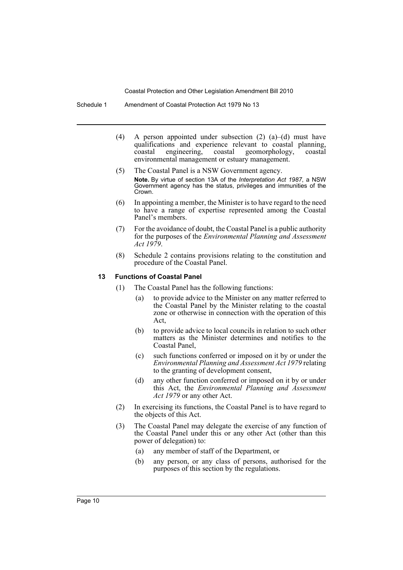- Schedule 1 Amendment of Coastal Protection Act 1979 No 13
	- (4) A person appointed under subsection (2) (a)–(d) must have qualifications and experience relevant to coastal planning, coastal engineering, coastal geomorphology, coastal environmental management or estuary management.
	- (5) The Coastal Panel is a NSW Government agency. **Note.** By virtue of section 13A of the *Interpretation Act 1987*, a NSW Government agency has the status, privileges and immunities of the Crown.
	- (6) In appointing a member, the Minister is to have regard to the need to have a range of expertise represented among the Coastal Panel's members.
	- (7) For the avoidance of doubt, the Coastal Panel is a public authority for the purposes of the *Environmental Planning and Assessment Act 1979*.
	- (8) Schedule 2 contains provisions relating to the constitution and procedure of the Coastal Panel.

#### **13 Functions of Coastal Panel**

- (1) The Coastal Panel has the following functions:
	- (a) to provide advice to the Minister on any matter referred to the Coastal Panel by the Minister relating to the coastal zone or otherwise in connection with the operation of this Act,
	- (b) to provide advice to local councils in relation to such other matters as the Minister determines and notifies to the Coastal Panel,
	- (c) such functions conferred or imposed on it by or under the *Environmental Planning and Assessment Act 1979* relating to the granting of development consent,
	- (d) any other function conferred or imposed on it by or under this Act, the *Environmental Planning and Assessment Act 1979* or any other Act.
- (2) In exercising its functions, the Coastal Panel is to have regard to the objects of this Act.
- (3) The Coastal Panel may delegate the exercise of any function of the Coastal Panel under this or any other Act (other than this power of delegation) to:
	- (a) any member of staff of the Department, or
	- (b) any person, or any class of persons, authorised for the purposes of this section by the regulations.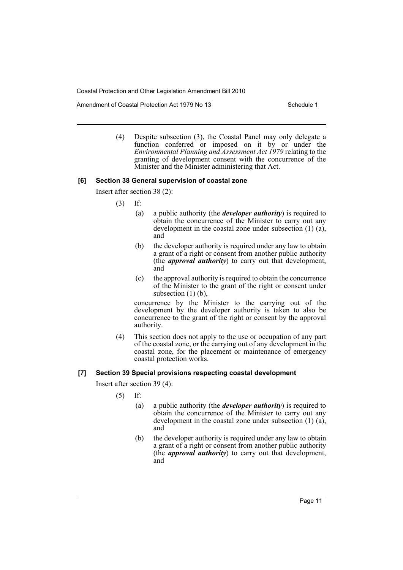Amendment of Coastal Protection Act 1979 No 13 Schedule 1

(4) Despite subsection (3), the Coastal Panel may only delegate a function conferred or imposed on it by or under the *Environmental Planning and Assessment Act 1979* relating to the granting of development consent with the concurrence of the Minister and the Minister administering that Act.

#### **[6] Section 38 General supervision of coastal zone**

Insert after section 38 (2):

- (3) If:
	- (a) a public authority (the *developer authority*) is required to obtain the concurrence of the Minister to carry out any development in the coastal zone under subsection (1) (a), and
	- (b) the developer authority is required under any law to obtain a grant of a right or consent from another public authority (the *approval authority*) to carry out that development, and
	- (c) the approval authority is required to obtain the concurrence of the Minister to the grant of the right or consent under subsection  $(1)$   $(b)$ ,

concurrence by the Minister to the carrying out of the development by the developer authority is taken to also be concurrence to the grant of the right or consent by the approval authority.

(4) This section does not apply to the use or occupation of any part of the coastal zone, or the carrying out of any development in the coastal zone, for the placement or maintenance of emergency coastal protection works.

# **[7] Section 39 Special provisions respecting coastal development**

Insert after section 39 (4):

- (5) If:
	- (a) a public authority (the *developer authority*) is required to obtain the concurrence of the Minister to carry out any development in the coastal zone under subsection (1) (a), and
	- (b) the developer authority is required under any law to obtain a grant of a right or consent from another public authority (the *approval authority*) to carry out that development, and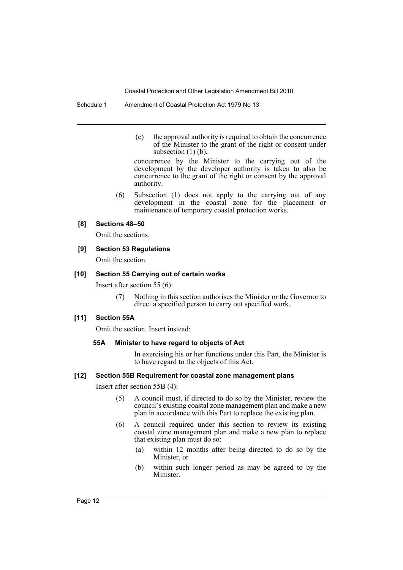Schedule 1 Amendment of Coastal Protection Act 1979 No 13

(c) the approval authority is required to obtain the concurrence of the Minister to the grant of the right or consent under subsection  $(1)$   $(b)$ ,

concurrence by the Minister to the carrying out of the development by the developer authority is taken to also be concurrence to the grant of the right or consent by the approval authority.

(6) Subsection (1) does not apply to the carrying out of any development in the coastal zone for the placement or maintenance of temporary coastal protection works.

#### **[8] Sections 48–50**

Omit the sections.

### **[9] Section 53 Regulations**

Omit the section.

#### **[10] Section 55 Carrying out of certain works**

Insert after section 55 (6):

(7) Nothing in this section authorises the Minister or the Governor to direct a specified person to carry out specified work.

### **[11] Section 55A**

Omit the section. Insert instead:

#### **55A Minister to have regard to objects of Act**

In exercising his or her functions under this Part, the Minister is to have regard to the objects of this Act.

#### **[12] Section 55B Requirement for coastal zone management plans**

Insert after section 55B (4):

- (5) A council must, if directed to do so by the Minister, review the council's existing coastal zone management plan and make a new plan in accordance with this Part to replace the existing plan.
- (6) A council required under this section to review its existing coastal zone management plan and make a new plan to replace that existing plan must do so:
	- (a) within 12 months after being directed to do so by the Minister, or
	- (b) within such longer period as may be agreed to by the Minister.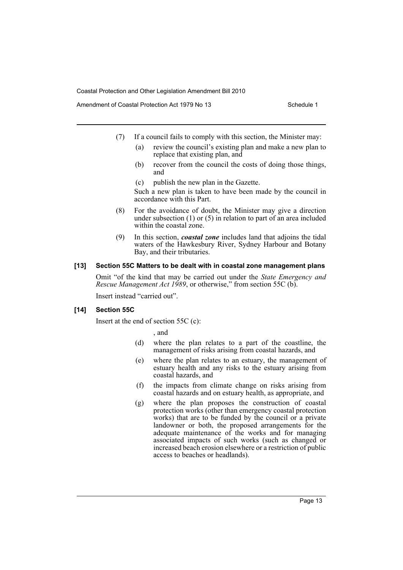Amendment of Coastal Protection Act 1979 No 13 Schedule 1

- (7) If a council fails to comply with this section, the Minister may:
	- (a) review the council's existing plan and make a new plan to replace that existing plan, and
	- (b) recover from the council the costs of doing those things, and
	- (c) publish the new plan in the Gazette.

Such a new plan is taken to have been made by the council in accordance with this Part.

- (8) For the avoidance of doubt, the Minister may give a direction under subsection (1) or (5) in relation to part of an area included within the coastal zone.
- (9) In this section, *coastal zone* includes land that adjoins the tidal waters of the Hawkesbury River, Sydney Harbour and Botany Bay, and their tributaries.

#### **[13] Section 55C Matters to be dealt with in coastal zone management plans**

Omit "of the kind that may be carried out under the *State Emergency and Rescue Management Act 1989*, or otherwise," from section 55C (b).

Insert instead "carried out".

### **[14] Section 55C**

Insert at the end of section 55C (c):

, and

- (d) where the plan relates to a part of the coastline, the management of risks arising from coastal hazards, and
- (e) where the plan relates to an estuary, the management of estuary health and any risks to the estuary arising from coastal hazards, and
- (f) the impacts from climate change on risks arising from coastal hazards and on estuary health, as appropriate, and
- (g) where the plan proposes the construction of coastal protection works (other than emergency coastal protection works) that are to be funded by the council or a private landowner or both, the proposed arrangements for the adequate maintenance of the works and for managing associated impacts of such works (such as changed or increased beach erosion elsewhere or a restriction of public access to beaches or headlands).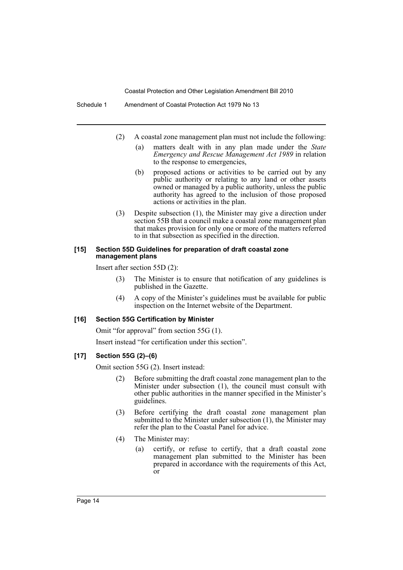Schedule 1 Amendment of Coastal Protection Act 1979 No 13

- (2) A coastal zone management plan must not include the following:
	- (a) matters dealt with in any plan made under the *State Emergency and Rescue Management Act 1989* in relation to the response to emergencies,
	- (b) proposed actions or activities to be carried out by any public authority or relating to any land or other assets owned or managed by a public authority, unless the public authority has agreed to the inclusion of those proposed actions or activities in the plan.
- (3) Despite subsection (1), the Minister may give a direction under section 55B that a council make a coastal zone management plan that makes provision for only one or more of the matters referred to in that subsection as specified in the direction.

#### **[15] Section 55D Guidelines for preparation of draft coastal zone management plans**

Insert after section 55D (2):

- (3) The Minister is to ensure that notification of any guidelines is published in the Gazette.
- (4) A copy of the Minister's guidelines must be available for public inspection on the Internet website of the Department.

#### **[16] Section 55G Certification by Minister**

Omit "for approval" from section 55G (1).

Insert instead "for certification under this section".

### **[17] Section 55G (2)–(6)**

Omit section 55G (2). Insert instead:

- (2) Before submitting the draft coastal zone management plan to the Minister under subsection (1), the council must consult with other public authorities in the manner specified in the Minister's guidelines.
- (3) Before certifying the draft coastal zone management plan submitted to the Minister under subsection (1), the Minister may refer the plan to the Coastal Panel for advice.
- (4) The Minister may:
	- (a) certify, or refuse to certify, that a draft coastal zone management plan submitted to the Minister has been prepared in accordance with the requirements of this Act, or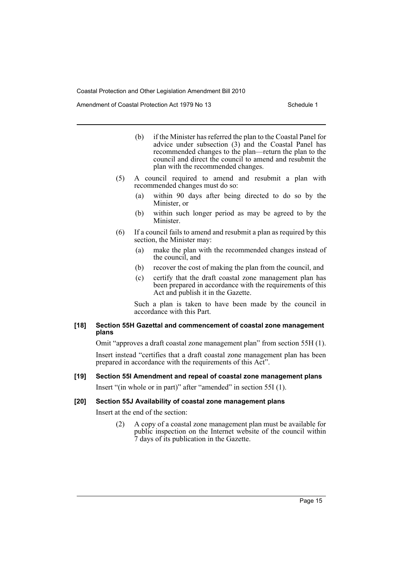Amendment of Coastal Protection Act 1979 No 13 Schedule 1

- (b) if the Minister has referred the plan to the Coastal Panel for advice under subsection (3) and the Coastal Panel has recommended changes to the plan—return the plan to the council and direct the council to amend and resubmit the plan with the recommended changes.
- (5) A council required to amend and resubmit a plan with recommended changes must do so:
	- (a) within 90 days after being directed to do so by the Minister, or
	- (b) within such longer period as may be agreed to by the Minister.
- (6) If a council fails to amend and resubmit a plan as required by this section, the Minister may:
	- (a) make the plan with the recommended changes instead of the council, and
	- (b) recover the cost of making the plan from the council, and
	- (c) certify that the draft coastal zone management plan has been prepared in accordance with the requirements of this Act and publish it in the Gazette.

Such a plan is taken to have been made by the council in accordance with this Part.

#### **[18] Section 55H Gazettal and commencement of coastal zone management plans**

Omit "approves a draft coastal zone management plan" from section 55H (1).

Insert instead "certifies that a draft coastal zone management plan has been prepared in accordance with the requirements of this Act".

#### **[19] Section 55I Amendment and repeal of coastal zone management plans**

Insert "(in whole or in part)" after "amended" in section 55I (1).

### **[20] Section 55J Availability of coastal zone management plans**

Insert at the end of the section:

(2) A copy of a coastal zone management plan must be available for public inspection on the Internet website of the council within 7 days of its publication in the Gazette.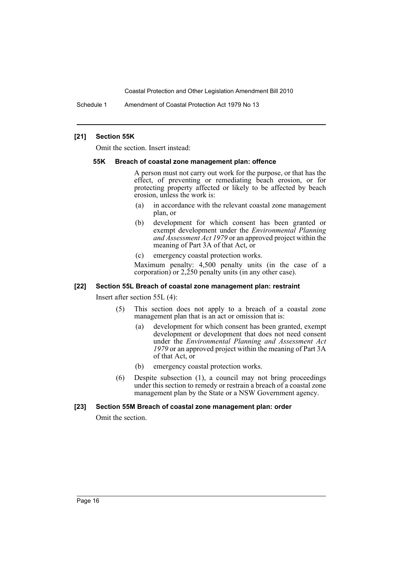Schedule 1 Amendment of Coastal Protection Act 1979 No 13

#### **[21] Section 55K**

Omit the section. Insert instead:

#### **55K Breach of coastal zone management plan: offence**

A person must not carry out work for the purpose, or that has the effect, of preventing or remediating beach erosion, or for protecting property affected or likely to be affected by beach erosion, unless the work is:

- (a) in accordance with the relevant coastal zone management plan, or
- (b) development for which consent has been granted or exempt development under the *Environmental Planning and Assessment Act 1979* or an approved project within the meaning of Part 3A of that Act, or
- (c) emergency coastal protection works.

Maximum penalty: 4,500 penalty units (in the case of a corporation) or  $2,250$  penalty units (in any other case).

#### **[22] Section 55L Breach of coastal zone management plan: restraint**

Insert after section 55L (4):

- (5) This section does not apply to a breach of a coastal zone management plan that is an act or omission that is:
	- (a) development for which consent has been granted, exempt development or development that does not need consent under the *Environmental Planning and Assessment Act 1979* or an approved project within the meaning of Part 3A of that Act, or
	- (b) emergency coastal protection works.
- (6) Despite subsection (1), a council may not bring proceedings under this section to remedy or restrain a breach of a coastal zone management plan by the State or a NSW Government agency.

#### **[23] Section 55M Breach of coastal zone management plan: order**

Omit the section.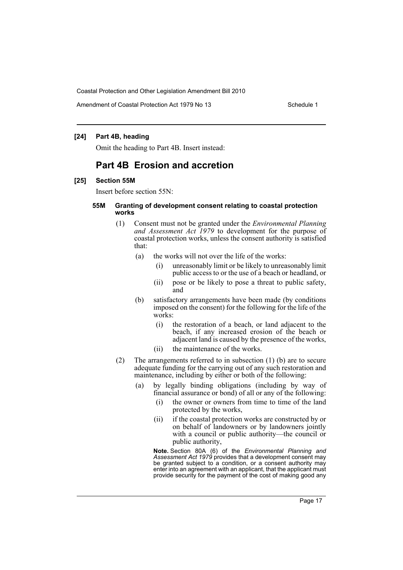Amendment of Coastal Protection Act 1979 No 13 Schedule 1

### **[24] Part 4B, heading**

Omit the heading to Part 4B. Insert instead:

# **Part 4B Erosion and accretion**

#### **[25] Section 55M**

Insert before section 55N:

#### **55M Granting of development consent relating to coastal protection works**

- (1) Consent must not be granted under the *Environmental Planning and Assessment Act 1979* to development for the purpose of coastal protection works, unless the consent authority is satisfied that:
	- (a) the works will not over the life of the works:
		- (i) unreasonably limit or be likely to unreasonably limit public access to or the use of a beach or headland, or
		- (ii) pose or be likely to pose a threat to public safety, and
	- (b) satisfactory arrangements have been made (by conditions imposed on the consent) for the following for the life of the works:
		- (i) the restoration of a beach, or land adjacent to the beach, if any increased erosion of the beach or adjacent land is caused by the presence of the works,
		- (ii) the maintenance of the works.
- (2) The arrangements referred to in subsection (1) (b) are to secure adequate funding for the carrying out of any such restoration and maintenance, including by either or both of the following:
	- (a) by legally binding obligations (including by way of financial assurance or bond) of all or any of the following:
		- (i) the owner or owners from time to time of the land protected by the works,
		- (ii) if the coastal protection works are constructed by or on behalf of landowners or by landowners jointly with a council or public authority—the council or public authority,

**Note.** Section 80A (6) of the *Environmental Planning and Assessment Act 1979* provides that a development consent may be granted subject to a condition, or a consent authority may enter into an agreement with an applicant, that the applicant must provide security for the payment of the cost of making good any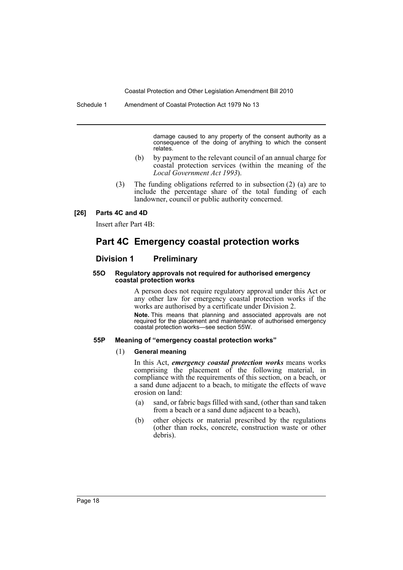Schedule 1 Amendment of Coastal Protection Act 1979 No 13

damage caused to any property of the consent authority as a consequence of the doing of anything to which the consent relates.

- (b) by payment to the relevant council of an annual charge for coastal protection services (within the meaning of the *Local Government Act 1993*).
- (3) The funding obligations referred to in subsection (2) (a) are to include the percentage share of the total funding of each landowner, council or public authority concerned.

#### **[26] Parts 4C and 4D**

Insert after Part 4B:

# **Part 4C Emergency coastal protection works**

# **Division 1 Preliminary**

#### **55O Regulatory approvals not required for authorised emergency coastal protection works**

A person does not require regulatory approval under this Act or any other law for emergency coastal protection works if the works are authorised by a certificate under Division 2.

**Note.** This means that planning and associated approvals are not required for the placement and maintenance of authorised emergency coastal protection works—see section 55W.

#### **55P Meaning of "emergency coastal protection works"**

#### (1) **General meaning**

In this Act, *emergency coastal protection works* means works comprising the placement of the following material, in compliance with the requirements of this section, on a beach, or a sand dune adjacent to a beach, to mitigate the effects of wave erosion on land:

- (a) sand, or fabric bags filled with sand, (other than sand taken from a beach or a sand dune adjacent to a beach),
- (b) other objects or material prescribed by the regulations (other than rocks, concrete, construction waste or other debris).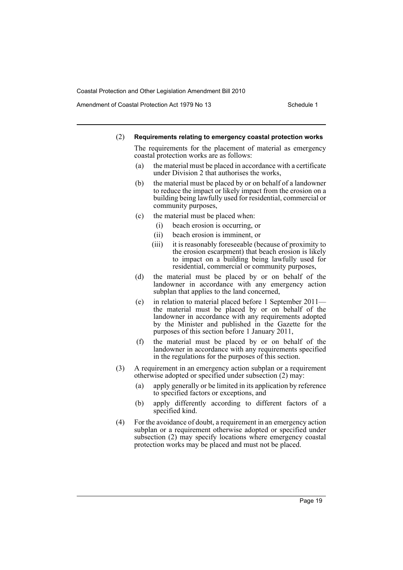Amendment of Coastal Protection Act 1979 No 13 Schedule 1

#### (2) **Requirements relating to emergency coastal protection works**

The requirements for the placement of material as emergency coastal protection works are as follows:

- (a) the material must be placed in accordance with a certificate under Division 2 that authorises the works,
- (b) the material must be placed by or on behalf of a landowner to reduce the impact or likely impact from the erosion on a building being lawfully used for residential, commercial or community purposes,
- (c) the material must be placed when:
	- (i) beach erosion is occurring, or
	- (ii) beach erosion is imminent, or
	- (iii) it is reasonably foreseeable (because of proximity to the erosion escarpment) that beach erosion is likely to impact on a building being lawfully used for residential, commercial or community purposes,
- (d) the material must be placed by or on behalf of the landowner in accordance with any emergency action subplan that applies to the land concerned,
- (e) in relation to material placed before 1 September 2011 the material must be placed by or on behalf of the landowner in accordance with any requirements adopted by the Minister and published in the Gazette for the purposes of this section before 1 January 2011,
- (f) the material must be placed by or on behalf of the landowner in accordance with any requirements specified in the regulations for the purposes of this section.
- (3) A requirement in an emergency action subplan or a requirement otherwise adopted or specified under subsection (2) may:
	- (a) apply generally or be limited in its application by reference to specified factors or exceptions, and
	- (b) apply differently according to different factors of a specified kind.
- (4) For the avoidance of doubt, a requirement in an emergency action subplan or a requirement otherwise adopted or specified under subsection (2) may specify locations where emergency coastal protection works may be placed and must not be placed.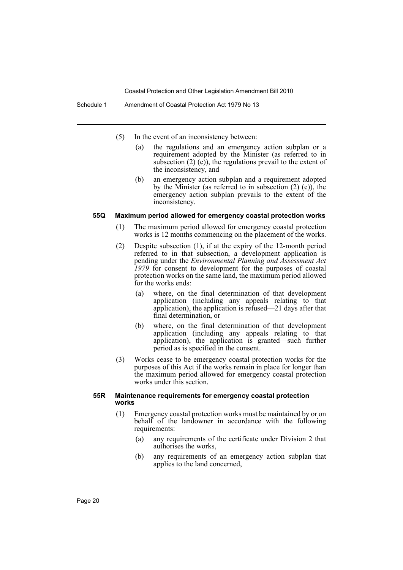- (5) In the event of an inconsistency between:
	- (a) the regulations and an emergency action subplan or a requirement adopted by the Minister (as referred to in subsection (2) (e)), the regulations prevail to the extent of the inconsistency, and
	- (b) an emergency action subplan and a requirement adopted by the Minister (as referred to in subsection (2) (e)), the emergency action subplan prevails to the extent of the inconsistency.

#### **55Q Maximum period allowed for emergency coastal protection works**

- (1) The maximum period allowed for emergency coastal protection works is 12 months commencing on the placement of the works.
- (2) Despite subsection (1), if at the expiry of the 12-month period referred to in that subsection, a development application is pending under the *Environmental Planning and Assessment Act 1979* for consent to development for the purposes of coastal protection works on the same land, the maximum period allowed for the works ends:
	- (a) where, on the final determination of that development application (including any appeals relating to that application), the application is refused—21 days after that final determination, or
	- (b) where, on the final determination of that development application (including any appeals relating to that application), the application is granted—such further period as is specified in the consent.
- (3) Works cease to be emergency coastal protection works for the purposes of this Act if the works remain in place for longer than the maximum period allowed for emergency coastal protection works under this section.

#### **55R Maintenance requirements for emergency coastal protection works**

- (1) Emergency coastal protection works must be maintained by or on behalf of the landowner in accordance with the following requirements:
	- (a) any requirements of the certificate under Division 2 that authorises the works,
	- (b) any requirements of an emergency action subplan that applies to the land concerned,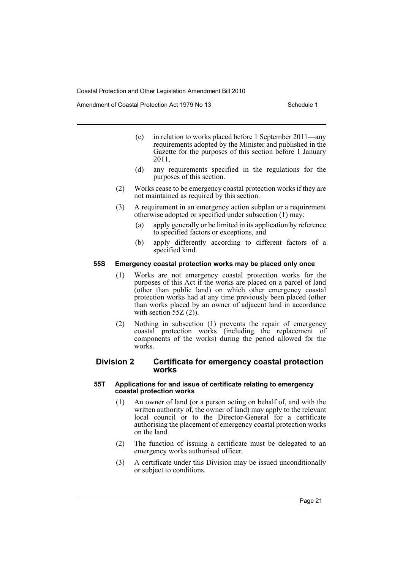Amendment of Coastal Protection Act 1979 No 13 Schedule 1

- (c) in relation to works placed before 1 September 2011—any requirements adopted by the Minister and published in the Gazette for the purposes of this section before 1 January 2011,
- (d) any requirements specified in the regulations for the purposes of this section.
- (2) Works cease to be emergency coastal protection works if they are not maintained as required by this section.
- (3) A requirement in an emergency action subplan or a requirement otherwise adopted or specified under subsection (1) may:
	- (a) apply generally or be limited in its application by reference to specified factors or exceptions, and
	- (b) apply differently according to different factors of a specified kind.

### **55S Emergency coastal protection works may be placed only once**

- (1) Works are not emergency coastal protection works for the purposes of this Act if the works are placed on a parcel of land (other than public land) on which other emergency coastal protection works had at any time previously been placed (other than works placed by an owner of adjacent land in accordance with section  $55Z(2)$ ).
- (2) Nothing in subsection (1) prevents the repair of emergency coastal protection works (including the replacement of components of the works) during the period allowed for the works.

# **Division 2 Certificate for emergency coastal protection works**

#### **55T Applications for and issue of certificate relating to emergency coastal protection works**

- (1) An owner of land (or a person acting on behalf of, and with the written authority of, the owner of land) may apply to the relevant local council or to the Director-General for a certificate authorising the placement of emergency coastal protection works on the land.
- (2) The function of issuing a certificate must be delegated to an emergency works authorised officer.
- (3) A certificate under this Division may be issued unconditionally or subject to conditions.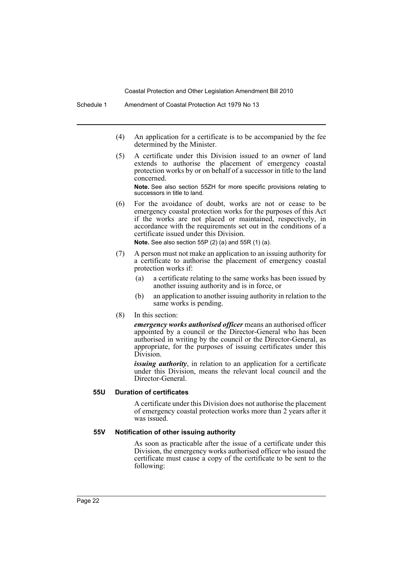- (4) An application for a certificate is to be accompanied by the fee determined by the Minister.
- (5) A certificate under this Division issued to an owner of land extends to authorise the placement of emergency coastal protection works by or on behalf of a successor in title to the land concerned.

**Note.** See also section 55ZH for more specific provisions relating to successors in title to land.

(6) For the avoidance of doubt, works are not or cease to be emergency coastal protection works for the purposes of this Act if the works are not placed or maintained, respectively, in accordance with the requirements set out in the conditions of a certificate issued under this Division.

**Note.** See also section 55P (2) (a) and 55R (1) (a).

- (7) A person must not make an application to an issuing authority for a certificate to authorise the placement of emergency coastal protection works if:
	- (a) a certificate relating to the same works has been issued by another issuing authority and is in force, or
	- (b) an application to another issuing authority in relation to the same works is pending.
- (8) In this section:

*emergency works authorised officer* means an authorised officer appointed by a council or the Director-General who has been authorised in writing by the council or the Director-General, as appropriate, for the purposes of issuing certificates under this Division.

*issuing authority*, in relation to an application for a certificate under this Division, means the relevant local council and the Director-General.

# **55U Duration of certificates**

A certificate under this Division does not authorise the placement of emergency coastal protection works more than 2 years after it was issued.

#### **55V Notification of other issuing authority**

As soon as practicable after the issue of a certificate under this Division, the emergency works authorised officer who issued the certificate must cause a copy of the certificate to be sent to the following: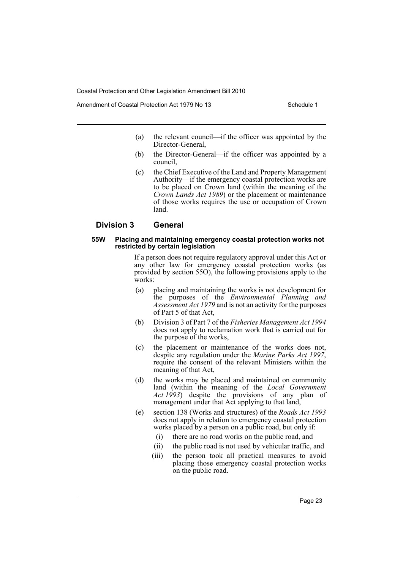Amendment of Coastal Protection Act 1979 No 13 Schedule 1

- (a) the relevant council—if the officer was appointed by the Director-General,
- (b) the Director-General—if the officer was appointed by a council,
- (c) the Chief Executive of the Land and Property Management Authority—if the emergency coastal protection works are to be placed on Crown land (within the meaning of the *Crown Lands Act 1989*) or the placement or maintenance of those works requires the use or occupation of Crown land.

# **Division 3 General**

#### **55W Placing and maintaining emergency coastal protection works not restricted by certain legislation**

If a person does not require regulatory approval under this Act or any other law for emergency coastal protection works (as provided by section 55O), the following provisions apply to the works:

- (a) placing and maintaining the works is not development for the purposes of the *Environmental Planning and Assessment Act 1979* and is not an activity for the purposes of Part 5 of that Act,
- (b) Division 3 of Part 7 of the *Fisheries Management Act 1994* does not apply to reclamation work that is carried out for the purpose of the works,
- (c) the placement or maintenance of the works does not, despite any regulation under the *Marine Parks Act 1997*, require the consent of the relevant Ministers within the meaning of that Act,
- (d) the works may be placed and maintained on community land (within the meaning of the *Local Government Act 1993*) despite the provisions of any plan of management under that Act applying to that land,
- (e) section 138 (Works and structures) of the *Roads Act 1993* does not apply in relation to emergency coastal protection works placed by a person on a public road, but only if:
	- (i) there are no road works on the public road, and
	- (ii) the public road is not used by vehicular traffic, and
	- (iii) the person took all practical measures to avoid placing those emergency coastal protection works on the public road.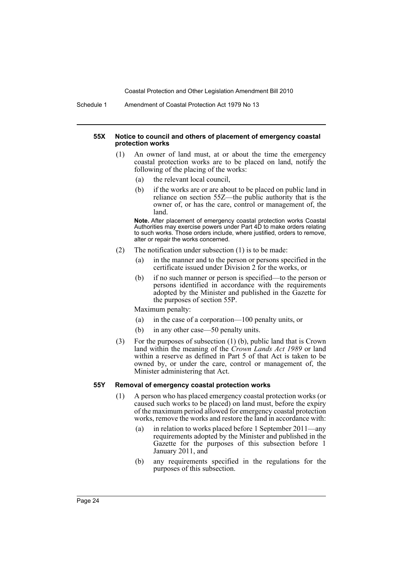Schedule 1 Amendment of Coastal Protection Act 1979 No 13

#### **55X Notice to council and others of placement of emergency coastal protection works**

- (1) An owner of land must, at or about the time the emergency coastal protection works are to be placed on land, notify the following of the placing of the works:
	- (a) the relevant local council,
	- (b) if the works are or are about to be placed on public land in reliance on section 55Z—the public authority that is the owner of, or has the care, control or management of, the land.

**Note.** After placement of emergency coastal protection works Coastal Authorities may exercise powers under Part 4D to make orders relating to such works. Those orders include, where justified, orders to remove, alter or repair the works concerned.

- (2) The notification under subsection (1) is to be made:
	- (a) in the manner and to the person or persons specified in the certificate issued under Division 2 for the works, or
	- (b) if no such manner or person is specified—to the person or persons identified in accordance with the requirements adopted by the Minister and published in the Gazette for the purposes of section 55P.

Maximum penalty:

- (a) in the case of a corporation—100 penalty units, or
- (b) in any other case—50 penalty units.
- (3) For the purposes of subsection (1) (b), public land that is Crown land within the meaning of the *Crown Lands Act 1989* or land within a reserve as defined in Part 5 of that Act is taken to be owned by, or under the care, control or management of, the Minister administering that Act.

#### **55Y Removal of emergency coastal protection works**

- (1) A person who has placed emergency coastal protection works (or caused such works to be placed) on land must, before the expiry of the maximum period allowed for emergency coastal protection works, remove the works and restore the land in accordance with:
	- (a) in relation to works placed before 1 September 2011—any requirements adopted by the Minister and published in the Gazette for the purposes of this subsection before 1 January 2011, and
	- (b) any requirements specified in the regulations for the purposes of this subsection.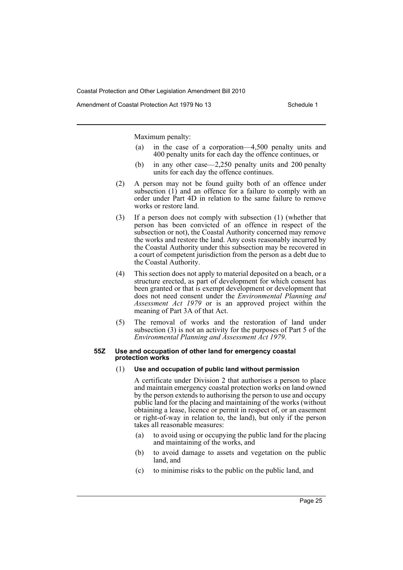Amendment of Coastal Protection Act 1979 No 13 Schedule 1

Maximum penalty:

- (a) in the case of a corporation—4,500 penalty units and 400 penalty units for each day the offence continues, or
- (b) in any other case—2,250 penalty units and 200 penalty units for each day the offence continues.
- (2) A person may not be found guilty both of an offence under subsection (1) and an offence for a failure to comply with an order under Part 4D in relation to the same failure to remove works or restore land.
- (3) If a person does not comply with subsection (1) (whether that person has been convicted of an offence in respect of the subsection or not), the Coastal Authority concerned may remove the works and restore the land. Any costs reasonably incurred by the Coastal Authority under this subsection may be recovered in a court of competent jurisdiction from the person as a debt due to the Coastal Authority.
- (4) This section does not apply to material deposited on a beach, or a structure erected, as part of development for which consent has been granted or that is exempt development or development that does not need consent under the *Environmental Planning and Assessment Act 1979* or is an approved project within the meaning of Part 3A of that Act.
- (5) The removal of works and the restoration of land under subsection (3) is not an activity for the purposes of Part 5 of the *Environmental Planning and Assessment Act 1979*.

#### **55Z Use and occupation of other land for emergency coastal protection works**

(1) **Use and occupation of public land without permission**

A certificate under Division 2 that authorises a person to place and maintain emergency coastal protection works on land owned by the person extends to authorising the person to use and occupy public land for the placing and maintaining of the works (without obtaining a lease, licence or permit in respect of, or an easement or right-of-way in relation to, the land), but only if the person takes all reasonable measures:

- (a) to avoid using or occupying the public land for the placing and maintaining of the works, and
- (b) to avoid damage to assets and vegetation on the public land, and
- (c) to minimise risks to the public on the public land, and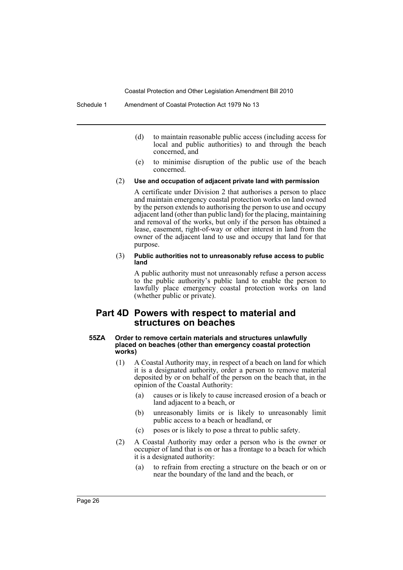- (d) to maintain reasonable public access (including access for local and public authorities) to and through the beach concerned, and
- (e) to minimise disruption of the public use of the beach concerned.

#### (2) **Use and occupation of adjacent private land with permission**

A certificate under Division 2 that authorises a person to place and maintain emergency coastal protection works on land owned by the person extends to authorising the person to use and occupy adjacent land (other than public land) for the placing, maintaining and removal of the works, but only if the person has obtained a lease, easement, right-of-way or other interest in land from the owner of the adjacent land to use and occupy that land for that purpose.

#### (3) **Public authorities not to unreasonably refuse access to public land**

A public authority must not unreasonably refuse a person access to the public authority's public land to enable the person to lawfully place emergency coastal protection works on land (whether public or private).

# **Part 4D Powers with respect to material and structures on beaches**

#### **55ZA Order to remove certain materials and structures unlawfully placed on beaches (other than emergency coastal protection works)**

- (1) A Coastal Authority may, in respect of a beach on land for which it is a designated authority, order a person to remove material deposited by or on behalf of the person on the beach that, in the opinion of the Coastal Authority:
	- (a) causes or is likely to cause increased erosion of a beach or land adjacent to a beach, or
	- (b) unreasonably limits or is likely to unreasonably limit public access to a beach or headland, or
	- (c) poses or is likely to pose a threat to public safety.
- (2) A Coastal Authority may order a person who is the owner or occupier of land that is on or has a frontage to a beach for which it is a designated authority:
	- (a) to refrain from erecting a structure on the beach or on or near the boundary of the land and the beach, or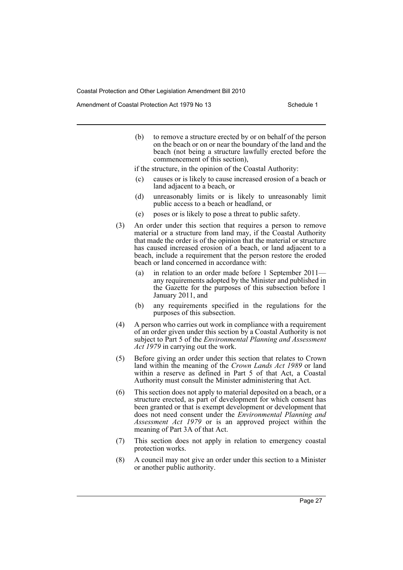Amendment of Coastal Protection Act 1979 No 13 Schedule 1

(b) to remove a structure erected by or on behalf of the person on the beach or on or near the boundary of the land and the beach (not being a structure lawfully erected before the commencement of this section),

if the structure, in the opinion of the Coastal Authority:

- (c) causes or is likely to cause increased erosion of a beach or land adjacent to a beach, or
- (d) unreasonably limits or is likely to unreasonably limit public access to a beach or headland, or
- (e) poses or is likely to pose a threat to public safety.
- (3) An order under this section that requires a person to remove material or a structure from land may, if the Coastal Authority that made the order is of the opinion that the material or structure has caused increased erosion of a beach, or land adjacent to a beach, include a requirement that the person restore the eroded beach or land concerned in accordance with:
	- (a) in relation to an order made before 1 September 2011 any requirements adopted by the Minister and published in the Gazette for the purposes of this subsection before 1 January 2011, and
	- (b) any requirements specified in the regulations for the purposes of this subsection.
- (4) A person who carries out work in compliance with a requirement of an order given under this section by a Coastal Authority is not subject to Part 5 of the *Environmental Planning and Assessment Act 1979* in carrying out the work.
- (5) Before giving an order under this section that relates to Crown land within the meaning of the *Crown Lands Act 1989* or land within a reserve as defined in Part 5 of that Act, a Coastal Authority must consult the Minister administering that Act.
- (6) This section does not apply to material deposited on a beach, or a structure erected, as part of development for which consent has been granted or that is exempt development or development that does not need consent under the *Environmental Planning and Assessment Act 1979* or is an approved project within the meaning of Part 3A of that Act.
- (7) This section does not apply in relation to emergency coastal protection works.
- (8) A council may not give an order under this section to a Minister or another public authority.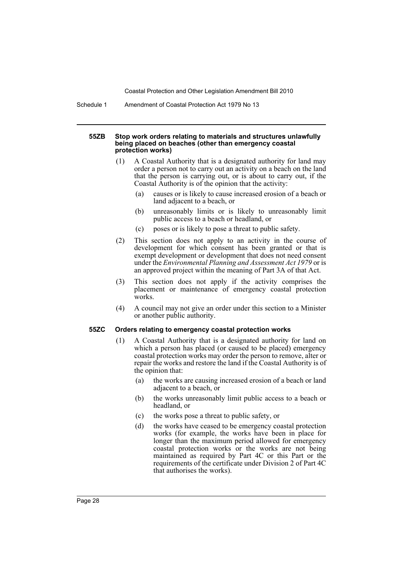Schedule 1 Amendment of Coastal Protection Act 1979 No 13

#### **55ZB Stop work orders relating to materials and structures unlawfully being placed on beaches (other than emergency coastal protection works)**

- (1) A Coastal Authority that is a designated authority for land may order a person not to carry out an activity on a beach on the land that the person is carrying out, or is about to carry out, if the Coastal Authority is of the opinion that the activity:
	- (a) causes or is likely to cause increased erosion of a beach or land adjacent to a beach, or
	- (b) unreasonably limits or is likely to unreasonably limit public access to a beach or headland, or
	- (c) poses or is likely to pose a threat to public safety.
- (2) This section does not apply to an activity in the course of development for which consent has been granted or that is exempt development or development that does not need consent under the *Environmental Planning and Assessment Act 1979* or is an approved project within the meaning of Part 3A of that Act.
- (3) This section does not apply if the activity comprises the placement or maintenance of emergency coastal protection works.
- (4) A council may not give an order under this section to a Minister or another public authority.

#### **55ZC Orders relating to emergency coastal protection works**

- (1) A Coastal Authority that is a designated authority for land on which a person has placed (or caused to be placed) emergency coastal protection works may order the person to remove, alter or repair the works and restore the land if the Coastal Authority is of the opinion that:
	- (a) the works are causing increased erosion of a beach or land adjacent to a beach, or
	- (b) the works unreasonably limit public access to a beach or headland, or
	- (c) the works pose a threat to public safety, or
	- (d) the works have ceased to be emergency coastal protection works (for example, the works have been in place for longer than the maximum period allowed for emergency coastal protection works or the works are not being maintained as required by Part 4C or this Part or the requirements of the certificate under Division 2 of Part 4C that authorises the works).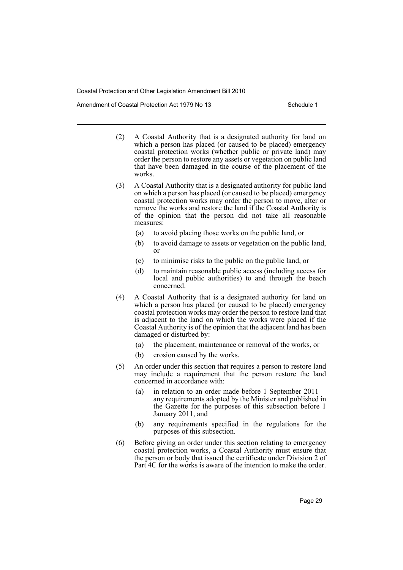Amendment of Coastal Protection Act 1979 No 13 Schedule 1

- (2) A Coastal Authority that is a designated authority for land on which a person has placed (or caused to be placed) emergency coastal protection works (whether public or private land) may order the person to restore any assets or vegetation on public land that have been damaged in the course of the placement of the works.
- (3) A Coastal Authority that is a designated authority for public land on which a person has placed (or caused to be placed) emergency coastal protection works may order the person to move, alter or remove the works and restore the land if the Coastal Authority is of the opinion that the person did not take all reasonable measures:
	- (a) to avoid placing those works on the public land, or
	- (b) to avoid damage to assets or vegetation on the public land, or
	- (c) to minimise risks to the public on the public land, or
	- (d) to maintain reasonable public access (including access for local and public authorities) to and through the beach concerned.
- (4) A Coastal Authority that is a designated authority for land on which a person has placed (or caused to be placed) emergency coastal protection works may order the person to restore land that is adjacent to the land on which the works were placed if the Coastal Authority is of the opinion that the adjacent land has been damaged or disturbed by:
	- (a) the placement, maintenance or removal of the works, or
	- (b) erosion caused by the works.
- (5) An order under this section that requires a person to restore land may include a requirement that the person restore the land concerned in accordance with:
	- (a) in relation to an order made before 1 September 2011 any requirements adopted by the Minister and published in the Gazette for the purposes of this subsection before 1 January 2011, and
	- (b) any requirements specified in the regulations for the purposes of this subsection.
- (6) Before giving an order under this section relating to emergency coastal protection works, a Coastal Authority must ensure that the person or body that issued the certificate under Division 2 of Part 4C for the works is aware of the intention to make the order.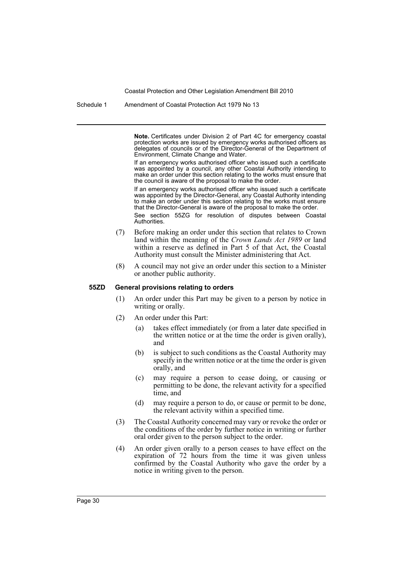Schedule 1 Amendment of Coastal Protection Act 1979 No 13

**Note.** Certificates under Division 2 of Part 4C for emergency coastal protection works are issued by emergency works authorised officers as delegates of councils or of the Director-General of the Department of Environment, Climate Change and Water.

If an emergency works authorised officer who issued such a certificate was appointed by a council, any other Coastal Authority intending to make an order under this section relating to the works must ensure that the council is aware of the proposal to make the order.

If an emergency works authorised officer who issued such a certificate was appointed by the Director-General, any Coastal Authority intending to make an order under this section relating to the works must ensure that the Director-General is aware of the proposal to make the order.

See section 55ZG for resolution of disputes between Coastal Authorities.

- (7) Before making an order under this section that relates to Crown land within the meaning of the *Crown Lands Act 1989* or land within a reserve as defined in Part 5 of that Act, the Coastal Authority must consult the Minister administering that Act.
- (8) A council may not give an order under this section to a Minister or another public authority.

#### **55ZD General provisions relating to orders**

- (1) An order under this Part may be given to a person by notice in writing or orally.
- (2) An order under this Part:
	- (a) takes effect immediately (or from a later date specified in the written notice or at the time the order is given orally), and
	- (b) is subject to such conditions as the Coastal Authority may specify in the written notice or at the time the order is given orally, and
	- (c) may require a person to cease doing, or causing or permitting to be done, the relevant activity for a specified time, and
	- (d) may require a person to do, or cause or permit to be done, the relevant activity within a specified time.
- (3) The Coastal Authority concerned may vary or revoke the order or the conditions of the order by further notice in writing or further oral order given to the person subject to the order.
- (4) An order given orally to a person ceases to have effect on the expiration of 72 hours from the time it was given unless confirmed by the Coastal Authority who gave the order by a notice in writing given to the person.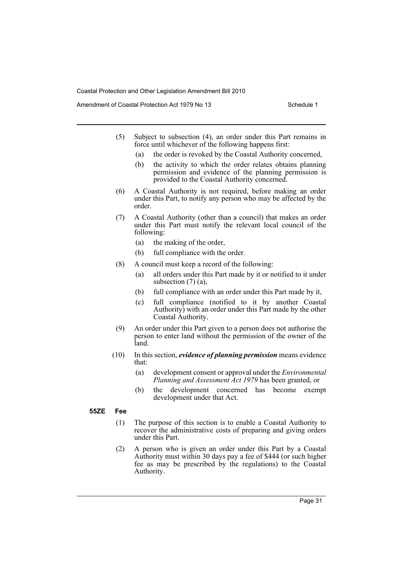Amendment of Coastal Protection Act 1979 No 13 Schedule 1

- (5) Subject to subsection (4), an order under this Part remains in force until whichever of the following happens first:
	- (a) the order is revoked by the Coastal Authority concerned,
	- (b) the activity to which the order relates obtains planning permission and evidence of the planning permission is provided to the Coastal Authority concerned.
- (6) A Coastal Authority is not required, before making an order under this Part, to notify any person who may be affected by the order.
- (7) A Coastal Authority (other than a council) that makes an order under this Part must notify the relevant local council of the following:
	- (a) the making of the order,
	- (b) full compliance with the order.
- (8) A council must keep a record of the following:
	- (a) all orders under this Part made by it or notified to it under subsection (7) (a),
	- (b) full compliance with an order under this Part made by it,
	- (c) full compliance (notified to it by another Coastal Authority) with an order under this Part made by the other Coastal Authority.
- (9) An order under this Part given to a person does not authorise the person to enter land without the permission of the owner of the land.
- (10) In this section, *evidence of planning permission* means evidence that:
	- (a) development consent or approval under the *Environmental Planning and Assessment Act 1979* has been granted, or
	- (b) the development concerned has become exempt development under that Act.

# **55ZE Fee**

- (1) The purpose of this section is to enable a Coastal Authority to recover the administrative costs of preparing and giving orders under this Part.
- (2) A person who is given an order under this Part by a Coastal Authority must within 30 days pay a fee of \$444 (or such higher fee as may be prescribed by the regulations) to the Coastal Authority.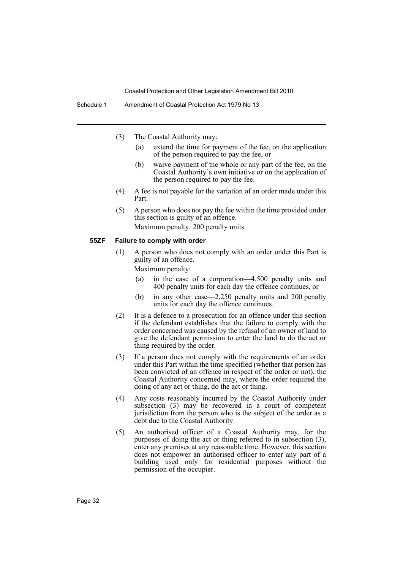- (3) The Coastal Authority may:
	- (a) extend the time for payment of the fee, on the application of the person required to pay the fee, or
	- (b) waive payment of the whole or any part of the fee, on the Coastal Authority's own initiative or on the application of the person required to pay the fee.
- (4) A fee is not payable for the variation of an order made under this Part.
- (5) A person who does not pay the fee within the time provided under this section is guilty of an offence. Maximum penalty: 200 penalty units.

### **55ZF Failure to comply with order**

(1) A person who does not comply with an order under this Part is guilty of an offence.

Maximum penalty:

- (a) in the case of a corporation—4,500 penalty units and 400 penalty units for each day the offence continues, or
- (b) in any other case—2,250 penalty units and 200 penalty units for each day the offence continues.
- (2) It is a defence to a prosecution for an offence under this section if the defendant establishes that the failure to comply with the order concerned was caused by the refusal of an owner of land to give the defendant permission to enter the land to do the act or thing required by the order.
- (3) If a person does not comply with the requirements of an order under this Part within the time specified (whether that person has been convicted of an offence in respect of the order or not), the Coastal Authority concerned may, where the order required the doing of any act or thing, do the act or thing.
- (4) Any costs reasonably incurred by the Coastal Authority under subsection (3) may be recovered in a court of competent jurisdiction from the person who is the subject of the order as a debt due to the Coastal Authority.
- (5) An authorised officer of a Coastal Authority may, for the purposes of doing the act or thing referred to in subsection (3), enter any premises at any reasonable time. However, this section does not empower an authorised officer to enter any part of a building used only for residential purposes without the permission of the occupier.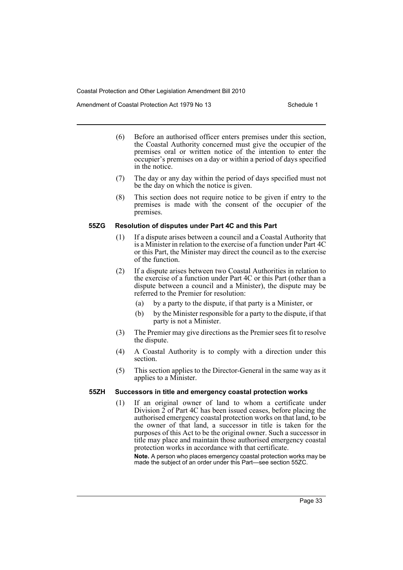Amendment of Coastal Protection Act 1979 No 13 Schedule 1

- (6) Before an authorised officer enters premises under this section, the Coastal Authority concerned must give the occupier of the premises oral or written notice of the intention to enter the occupier's premises on a day or within a period of days specified in the notice.
- (7) The day or any day within the period of days specified must not be the day on which the notice is given.
- (8) This section does not require notice to be given if entry to the premises is made with the consent of the occupier of the premises.

#### **55ZG Resolution of disputes under Part 4C and this Part**

- (1) If a dispute arises between a council and a Coastal Authority that is a Minister in relation to the exercise of a function under Part 4C or this Part, the Minister may direct the council as to the exercise of the function.
- (2) If a dispute arises between two Coastal Authorities in relation to the exercise of a function under Part 4C or this Part (other than a dispute between a council and a Minister), the dispute may be referred to the Premier for resolution:
	- (a) by a party to the dispute, if that party is a Minister, or
	- (b) by the Minister responsible for a party to the dispute, if that party is not a Minister.
- (3) The Premier may give directions as the Premier sees fit to resolve the dispute.
- (4) A Coastal Authority is to comply with a direction under this section.
- (5) This section applies to the Director-General in the same way as it applies to a Minister.

# **55ZH Successors in title and emergency coastal protection works**

(1) If an original owner of land to whom a certificate under Division 2 of Part 4C has been issued ceases, before placing the authorised emergency coastal protection works on that land, to be the owner of that land, a successor in title is taken for the purposes of this Act to be the original owner. Such a successor in title may place and maintain those authorised emergency coastal protection works in accordance with that certificate.

**Note.** A person who places emergency coastal protection works may be made the subject of an order under this Part—see section 55ZC.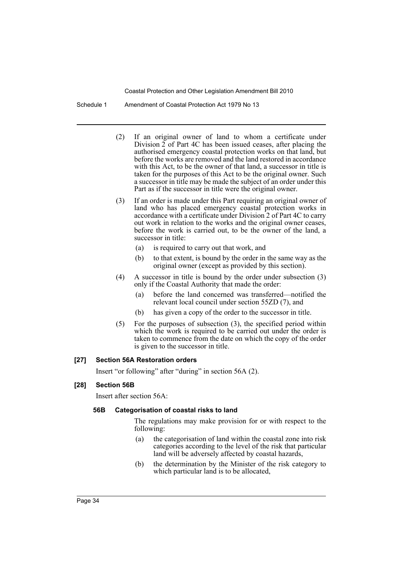Schedule 1 Amendment of Coastal Protection Act 1979 No 13

- (2) If an original owner of land to whom a certificate under Division  $2$  of Part 4C has been issued ceases, after placing the authorised emergency coastal protection works on that land, but before the works are removed and the land restored in accordance with this Act, to be the owner of that land, a successor in title is taken for the purposes of this Act to be the original owner. Such a successor in title may be made the subject of an order under this Part as if the successor in title were the original owner.
- (3) If an order is made under this Part requiring an original owner of land who has placed emergency coastal protection works in accordance with a certificate under Division 2 of Part 4C to carry out work in relation to the works and the original owner ceases, before the work is carried out, to be the owner of the land, a successor in title:
	- (a) is required to carry out that work, and
	- (b) to that extent, is bound by the order in the same way as the original owner (except as provided by this section).
- (4) A successor in title is bound by the order under subsection (3) only if the Coastal Authority that made the order:
	- (a) before the land concerned was transferred—notified the relevant local council under section 55ZD (7), and
	- (b) has given a copy of the order to the successor in title.
- (5) For the purposes of subsection (3), the specified period within which the work is required to be carried out under the order is taken to commence from the date on which the copy of the order is given to the successor in title.

# **[27] Section 56A Restoration orders**

Insert "or following" after "during" in section 56A (2).

# **[28] Section 56B**

Insert after section 56A:

# **56B Categorisation of coastal risks to land**

The regulations may make provision for or with respect to the following:

- (a) the categorisation of land within the coastal zone into risk categories according to the level of the risk that particular land will be adversely affected by coastal hazards,
- (b) the determination by the Minister of the risk category to which particular land is to be allocated,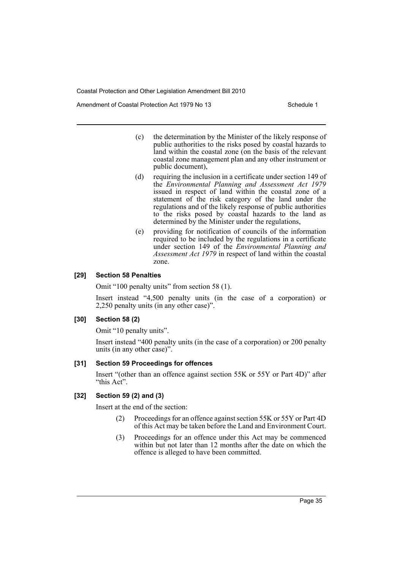Amendment of Coastal Protection Act 1979 No 13 Schedule 1

- (c) the determination by the Minister of the likely response of public authorities to the risks posed by coastal hazards to land within the coastal zone (on the basis of the relevant coastal zone management plan and any other instrument or public document),
- (d) requiring the inclusion in a certificate under section 149 of the *Environmental Planning and Assessment Act 1979* issued in respect of land within the coastal zone of a statement of the risk category of the land under the regulations and of the likely response of public authorities to the risks posed by coastal hazards to the land as determined by the Minister under the regulations,
- (e) providing for notification of councils of the information required to be included by the regulations in a certificate under section 149 of the *Environmental Planning and Assessment Act 1979* in respect of land within the coastal zone.

#### **[29] Section 58 Penalties**

Omit "100 penalty units" from section 58 (1).

Insert instead "4,500 penalty units (in the case of a corporation) or 2,250 penalty units (in any other case)".

### **[30] Section 58 (2)**

Omit "10 penalty units".

Insert instead "400 penalty units (in the case of a corporation) or 200 penalty units (in any other case)".

#### **[31] Section 59 Proceedings for offences**

Insert "(other than an offence against section 55K or 55Y or Part 4D)" after "this Act".

# **[32] Section 59 (2) and (3)**

Insert at the end of the section:

- (2) Proceedings for an offence against section 55K or 55Y or Part 4D of this Act may be taken before the Land and Environment Court.
- (3) Proceedings for an offence under this Act may be commenced within but not later than 12 months after the date on which the offence is alleged to have been committed.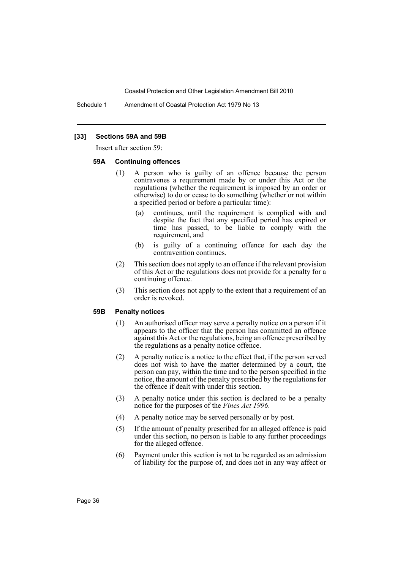Schedule 1 Amendment of Coastal Protection Act 1979 No 13

#### **[33] Sections 59A and 59B**

Insert after section 59:

#### **59A Continuing offences**

- (1) A person who is guilty of an offence because the person contravenes a requirement made by or under this Act or the regulations (whether the requirement is imposed by an order or otherwise) to do or cease to do something (whether or not within a specified period or before a particular time):
	- (a) continues, until the requirement is complied with and despite the fact that any specified period has expired or time has passed, to be liable to comply with the requirement, and
	- (b) is guilty of a continuing offence for each day the contravention continues.
- (2) This section does not apply to an offence if the relevant provision of this Act or the regulations does not provide for a penalty for a continuing offence.
- (3) This section does not apply to the extent that a requirement of an order is revoked.

#### **59B Penalty notices**

- (1) An authorised officer may serve a penalty notice on a person if it appears to the officer that the person has committed an offence against this Act or the regulations, being an offence prescribed by the regulations as a penalty notice offence.
- (2) A penalty notice is a notice to the effect that, if the person served does not wish to have the matter determined by a court, the person can pay, within the time and to the person specified in the notice, the amount of the penalty prescribed by the regulations for the offence if dealt with under this section.
- (3) A penalty notice under this section is declared to be a penalty notice for the purposes of the *Fines Act 1996*.
- (4) A penalty notice may be served personally or by post.
- (5) If the amount of penalty prescribed for an alleged offence is paid under this section, no person is liable to any further proceedings for the alleged offence.
- (6) Payment under this section is not to be regarded as an admission of liability for the purpose of, and does not in any way affect or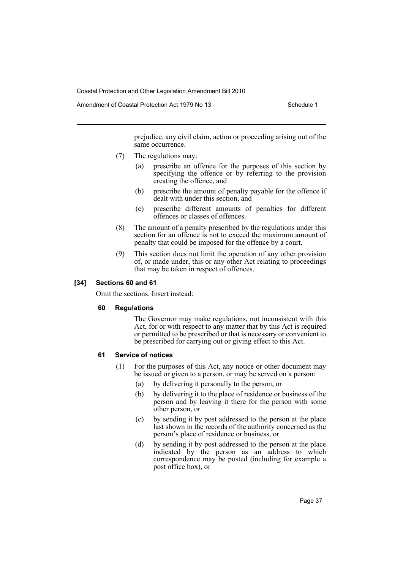Amendment of Coastal Protection Act 1979 No 13 Schedule 1

prejudice, any civil claim, action or proceeding arising out of the same occurrence.

- (7) The regulations may:
	- (a) prescribe an offence for the purposes of this section by specifying the offence or by referring to the provision creating the offence, and
	- (b) prescribe the amount of penalty payable for the offence if dealt with under this section, and
	- (c) prescribe different amounts of penalties for different offences or classes of offences.
- (8) The amount of a penalty prescribed by the regulations under this section for an offence is not to exceed the maximum amount of penalty that could be imposed for the offence by a court.
- (9) This section does not limit the operation of any other provision of, or made under, this or any other Act relating to proceedings that may be taken in respect of offences.

#### **[34] Sections 60 and 61**

Omit the sections. Insert instead:

#### **60 Regulations**

The Governor may make regulations, not inconsistent with this Act, for or with respect to any matter that by this Act is required or permitted to be prescribed or that is necessary or convenient to be prescribed for carrying out or giving effect to this Act.

# **61 Service of notices**

- (1) For the purposes of this Act, any notice or other document may be issued or given to a person, or may be served on a person:
	- (a) by delivering it personally to the person, or
	- (b) by delivering it to the place of residence or business of the person and by leaving it there for the person with some other person, or
	- (c) by sending it by post addressed to the person at the place last shown in the records of the authority concerned as the person's place of residence or business, or
	- (d) by sending it by post addressed to the person at the place indicated by the person as an address to which correspondence may be posted (including for example a post office box), or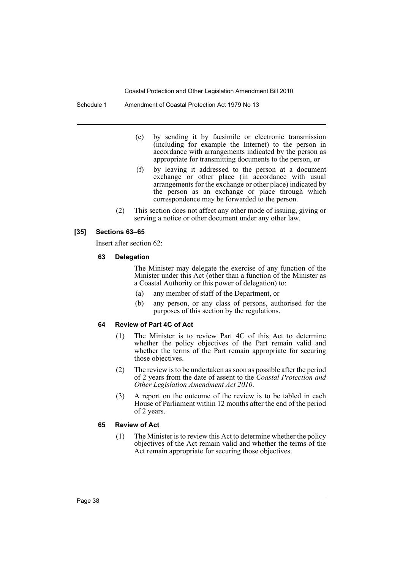Schedule 1 Amendment of Coastal Protection Act 1979 No 13

- (e) by sending it by facsimile or electronic transmission (including for example the Internet) to the person in accordance with arrangements indicated by the person as appropriate for transmitting documents to the person, or
- (f) by leaving it addressed to the person at a document exchange or other place (in accordance with usual arrangements for the exchange or other place) indicated by the person as an exchange or place through which correspondence may be forwarded to the person.
- (2) This section does not affect any other mode of issuing, giving or serving a notice or other document under any other law.

#### **[35] Sections 63–65**

Insert after section 62:

#### **63 Delegation**

The Minister may delegate the exercise of any function of the Minister under this Act (other than a function of the Minister as a Coastal Authority or this power of delegation) to:

- (a) any member of staff of the Department, or
- (b) any person, or any class of persons, authorised for the purposes of this section by the regulations.

# **64 Review of Part 4C of Act**

- (1) The Minister is to review Part 4C of this Act to determine whether the policy objectives of the Part remain valid and whether the terms of the Part remain appropriate for securing those objectives.
- (2) The review is to be undertaken as soon as possible after the period of 2 years from the date of assent to the *Coastal Protection and Other Legislation Amendment Act 2010*.
- (3) A report on the outcome of the review is to be tabled in each House of Parliament within 12 months after the end of the period of 2 years.

#### **65 Review of Act**

(1) The Minister is to review this Act to determine whether the policy objectives of the Act remain valid and whether the terms of the Act remain appropriate for securing those objectives.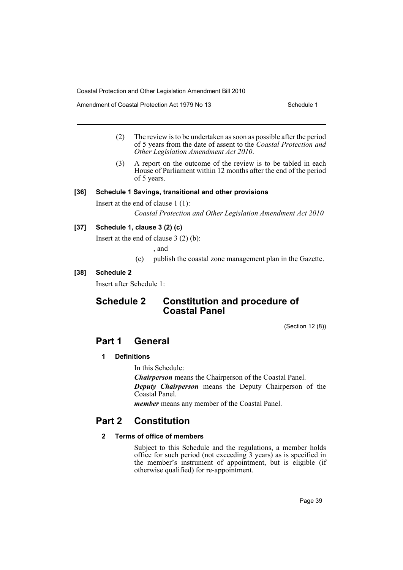Amendment of Coastal Protection Act 1979 No 13 Schedule 1

- (2) The review is to be undertaken as soon as possible after the period of 5 years from the date of assent to the *Coastal Protection and Other Legislation Amendment Act 2010*.
- (3) A report on the outcome of the review is to be tabled in each House of Parliament within 12 months after the end of the period of 5 years.

# **[36] Schedule 1 Savings, transitional and other provisions**

Insert at the end of clause 1 (1):

*Coastal Protection and Other Legislation Amendment Act 2010*

# **[37] Schedule 1, clause 3 (2) (c)**

Insert at the end of clause 3 (2) (b):

, and

(c) publish the coastal zone management plan in the Gazette.

# **[38] Schedule 2**

Insert after Schedule 1:

# **Schedule 2 Constitution and procedure of Coastal Panel**

(Section 12 (8))

# **Part 1 General**

# **1 Definitions**

In this Schedule:

*Chairperson* means the Chairperson of the Coastal Panel.

*Deputy Chairperson* means the Deputy Chairperson of the Coastal Panel.

*member* means any member of the Coastal Panel.

# **Part 2 Constitution**

# **2 Terms of office of members**

Subject to this Schedule and the regulations, a member holds office for such period (not exceeding 3 years) as is specified in the member's instrument of appointment, but is eligible (if otherwise qualified) for re-appointment.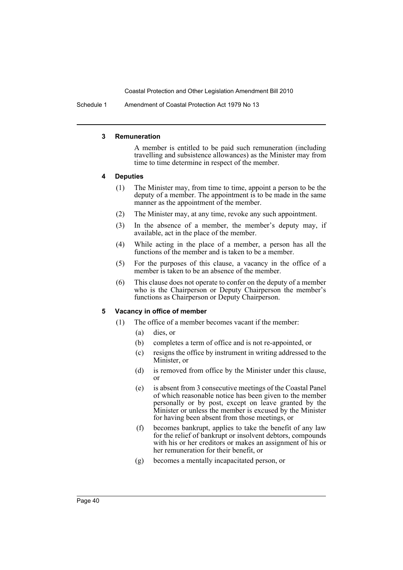Schedule 1 Amendment of Coastal Protection Act 1979 No 13

#### **3 Remuneration**

A member is entitled to be paid such remuneration (including travelling and subsistence allowances) as the Minister may from time to time determine in respect of the member.

#### **4 Deputies**

- (1) The Minister may, from time to time, appoint a person to be the deputy of a member. The appointment is to be made in the same manner as the appointment of the member.
- (2) The Minister may, at any time, revoke any such appointment.
- (3) In the absence of a member, the member's deputy may, if available, act in the place of the member.
- (4) While acting in the place of a member, a person has all the functions of the member and is taken to be a member.
- (5) For the purposes of this clause, a vacancy in the office of a member is taken to be an absence of the member.
- (6) This clause does not operate to confer on the deputy of a member who is the Chairperson or Deputy Chairperson the member's functions as Chairperson or Deputy Chairperson.

#### **5 Vacancy in office of member**

- (1) The office of a member becomes vacant if the member:
	- (a) dies, or
	- (b) completes a term of office and is not re-appointed, or
	- (c) resigns the office by instrument in writing addressed to the Minister, or
	- (d) is removed from office by the Minister under this clause, or
	- (e) is absent from 3 consecutive meetings of the Coastal Panel of which reasonable notice has been given to the member personally or by post, except on leave granted by the Minister or unless the member is excused by the Minister for having been absent from those meetings, or
	- (f) becomes bankrupt, applies to take the benefit of any law for the relief of bankrupt or insolvent debtors, compounds with his or her creditors or makes an assignment of his or her remuneration for their benefit, or
	- (g) becomes a mentally incapacitated person, or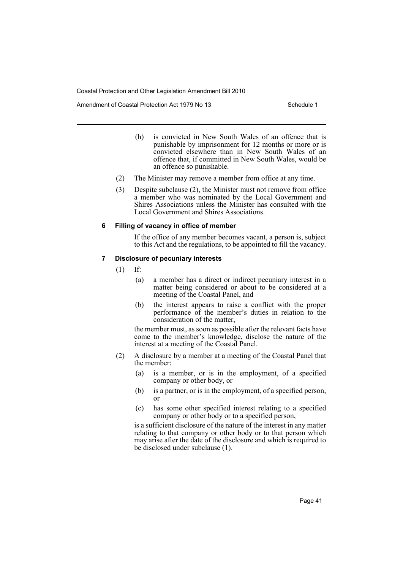Amendment of Coastal Protection Act 1979 No 13 Schedule 1

- (h) is convicted in New South Wales of an offence that is punishable by imprisonment for 12 months or more or is convicted elsewhere than in New South Wales of an offence that, if committed in New South Wales, would be an offence so punishable.
- (2) The Minister may remove a member from office at any time.
- (3) Despite subclause (2), the Minister must not remove from office a member who was nominated by the Local Government and Shires Associations unless the Minister has consulted with the Local Government and Shires Associations.

#### **6 Filling of vacancy in office of member**

If the office of any member becomes vacant, a person is, subject to this Act and the regulations, to be appointed to fill the vacancy.

#### **7 Disclosure of pecuniary interests**

 $(1)$  If:

- (a) a member has a direct or indirect pecuniary interest in a matter being considered or about to be considered at a meeting of the Coastal Panel, and
- (b) the interest appears to raise a conflict with the proper performance of the member's duties in relation to the consideration of the matter,

the member must, as soon as possible after the relevant facts have come to the member's knowledge, disclose the nature of the interest at a meeting of the Coastal Panel.

- (2) A disclosure by a member at a meeting of the Coastal Panel that the member:
	- (a) is a member, or is in the employment, of a specified company or other body, or
	- (b) is a partner, or is in the employment, of a specified person, or
	- (c) has some other specified interest relating to a specified company or other body or to a specified person,

is a sufficient disclosure of the nature of the interest in any matter relating to that company or other body or to that person which may arise after the date of the disclosure and which is required to be disclosed under subclause (1).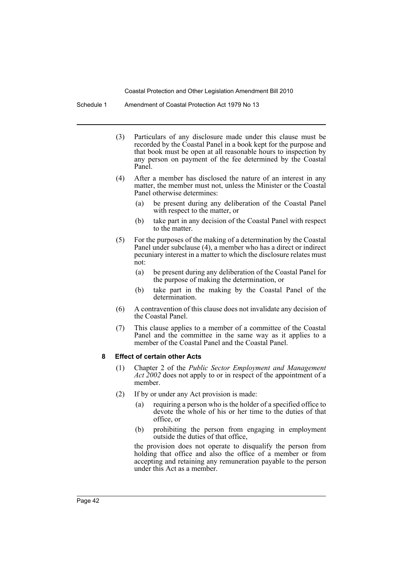Schedule 1 Amendment of Coastal Protection Act 1979 No 13

- (3) Particulars of any disclosure made under this clause must be recorded by the Coastal Panel in a book kept for the purpose and that book must be open at all reasonable hours to inspection by any person on payment of the fee determined by the Coastal Panel.
- (4) After a member has disclosed the nature of an interest in any matter, the member must not, unless the Minister or the Coastal Panel otherwise determines:
	- (a) be present during any deliberation of the Coastal Panel with respect to the matter, or
	- (b) take part in any decision of the Coastal Panel with respect to the matter.
- (5) For the purposes of the making of a determination by the Coastal Panel under subclause (4), a member who has a direct or indirect pecuniary interest in a matter to which the disclosure relates must not:
	- (a) be present during any deliberation of the Coastal Panel for the purpose of making the determination, or
	- (b) take part in the making by the Coastal Panel of the determination.
- (6) A contravention of this clause does not invalidate any decision of the Coastal Panel.
- (7) This clause applies to a member of a committee of the Coastal Panel and the committee in the same way as it applies to a member of the Coastal Panel and the Coastal Panel.

#### **8 Effect of certain other Acts**

- (1) Chapter 2 of the *Public Sector Employment and Management Act 2002* does not apply to or in respect of the appointment of a member.
- (2) If by or under any Act provision is made:
	- (a) requiring a person who is the holder of a specified office to devote the whole of his or her time to the duties of that office, or
	- (b) prohibiting the person from engaging in employment outside the duties of that office,

the provision does not operate to disqualify the person from holding that office and also the office of a member or from accepting and retaining any remuneration payable to the person under this Act as a member.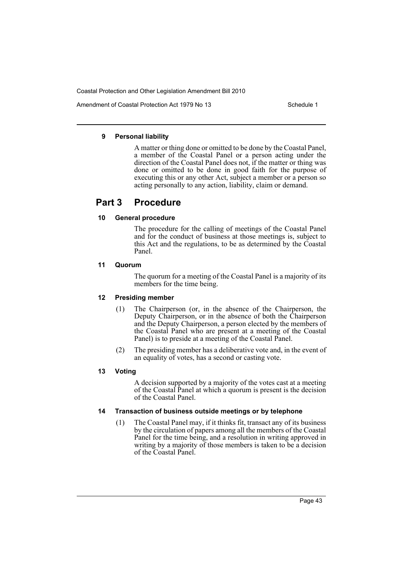Amendment of Coastal Protection Act 1979 No 13 Schedule 1

#### **9 Personal liability**

A matter or thing done or omitted to be done by the Coastal Panel, a member of the Coastal Panel or a person acting under the direction of the Coastal Panel does not, if the matter or thing was done or omitted to be done in good faith for the purpose of executing this or any other Act, subject a member or a person so acting personally to any action, liability, claim or demand.

# **Part 3 Procedure**

# **10 General procedure**

The procedure for the calling of meetings of the Coastal Panel and for the conduct of business at those meetings is, subject to this Act and the regulations, to be as determined by the Coastal Panel.

# **11 Quorum**

The quorum for a meeting of the Coastal Panel is a majority of its members for the time being.

# **12 Presiding member**

- (1) The Chairperson (or, in the absence of the Chairperson, the Deputy Chairperson, or in the absence of both the Chairperson and the Deputy Chairperson, a person elected by the members of the Coastal Panel who are present at a meeting of the Coastal Panel) is to preside at a meeting of the Coastal Panel.
- (2) The presiding member has a deliberative vote and, in the event of an equality of votes, has a second or casting vote.

# **13 Voting**

A decision supported by a majority of the votes cast at a meeting of the Coastal Panel at which a quorum is present is the decision of the Coastal Panel.

# **14 Transaction of business outside meetings or by telephone**

(1) The Coastal Panel may, if it thinks fit, transact any of its business by the circulation of papers among all the members of the Coastal Panel for the time being, and a resolution in writing approved in writing by a majority of those members is taken to be a decision of the Coastal Panel.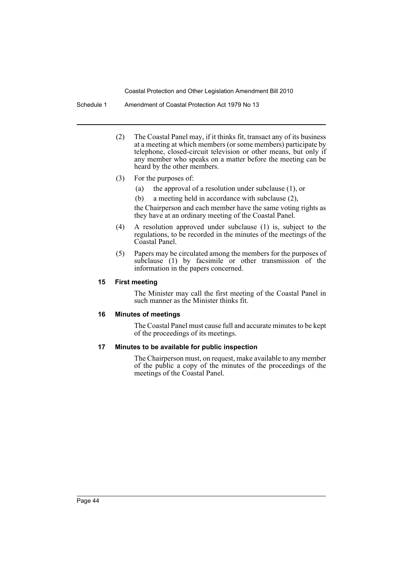Schedule 1 Amendment of Coastal Protection Act 1979 No 13

- (2) The Coastal Panel may, if it thinks fit, transact any of its business at a meeting at which members (or some members) participate by telephone, closed-circuit television or other means, but only if any member who speaks on a matter before the meeting can be heard by the other members.
- (3) For the purposes of:
	- (a) the approval of a resolution under subclause (1), or
	- (b) a meeting held in accordance with subclause (2),

the Chairperson and each member have the same voting rights as they have at an ordinary meeting of the Coastal Panel.

- (4) A resolution approved under subclause (1) is, subject to the regulations, to be recorded in the minutes of the meetings of the Coastal Panel.
- (5) Papers may be circulated among the members for the purposes of subclause (1) by facsimile or other transmission of the information in the papers concerned.

#### **15 First meeting**

The Minister may call the first meeting of the Coastal Panel in such manner as the Minister thinks fit.

#### **16 Minutes of meetings**

The Coastal Panel must cause full and accurate minutes to be kept of the proceedings of its meetings.

# **17 Minutes to be available for public inspection**

The Chairperson must, on request, make available to any member of the public a copy of the minutes of the proceedings of the meetings of the Coastal Panel.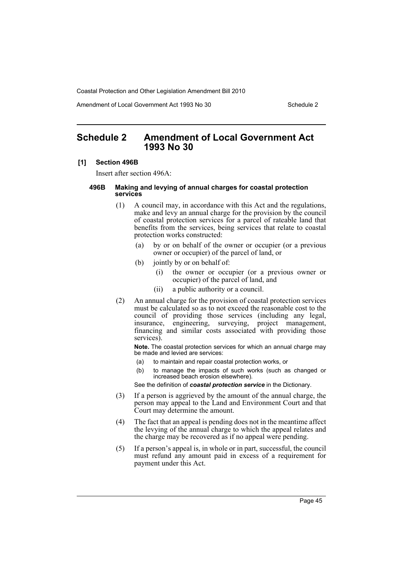Amendment of Local Government Act 1993 No 30 Schedule 2

# <span id="page-45-0"></span>**Schedule 2 Amendment of Local Government Act 1993 No 30**

#### **[1] Section 496B**

Insert after section 496A:

#### **496B Making and levying of annual charges for coastal protection services**

- (1) A council may, in accordance with this Act and the regulations, make and levy an annual charge for the provision by the council of coastal protection services for a parcel of rateable land that benefits from the services, being services that relate to coastal protection works constructed:
	- (a) by or on behalf of the owner or occupier (or a previous owner or occupier) of the parcel of land, or
	- (b) jointly by or on behalf of:
		- (i) the owner or occupier (or a previous owner or occupier) of the parcel of land, and
		- (ii) a public authority or a council.
- (2) An annual charge for the provision of coastal protection services must be calculated so as to not exceed the reasonable cost to the council of providing those services (including any legal, insurance, engineering, surveying, project management, financing and similar costs associated with providing those services).

**Note.** The coastal protection services for which an annual charge may be made and levied are services:

- (a) to maintain and repair coastal protection works, or
- (b) to manage the impacts of such works (such as changed or increased beach erosion elsewhere).

See the definition of *coastal protection service* in the Dictionary.

- (3) If a person is aggrieved by the amount of the annual charge, the person may appeal to the Land and Environment Court and that Court may determine the amount.
- (4) The fact that an appeal is pending does not in the meantime affect the levying of the annual charge to which the appeal relates and the charge may be recovered as if no appeal were pending.
- (5) If a person's appeal is, in whole or in part, successful, the council must refund any amount paid in excess of a requirement for payment under this Act.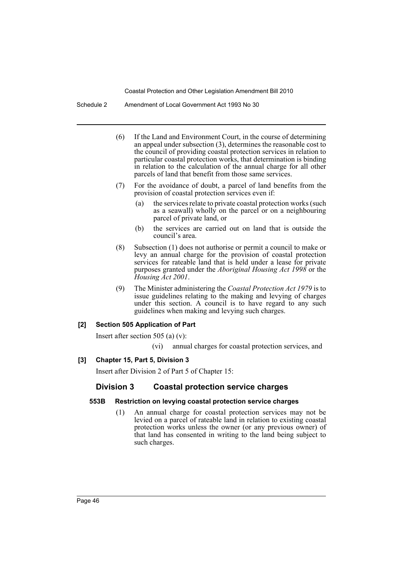Schedule 2 Amendment of Local Government Act 1993 No 30

- (6) If the Land and Environment Court, in the course of determining an appeal under subsection (3), determines the reasonable cost to the council of providing coastal protection services in relation to particular coastal protection works, that determination is binding in relation to the calculation of the annual charge for all other parcels of land that benefit from those same services.
- (7) For the avoidance of doubt, a parcel of land benefits from the provision of coastal protection services even if:
	- (a) the services relate to private coastal protection works (such as a seawall) wholly on the parcel or on a neighbouring parcel of private land, or
	- (b) the services are carried out on land that is outside the council's area.
- (8) Subsection (1) does not authorise or permit a council to make or levy an annual charge for the provision of coastal protection services for rateable land that is held under a lease for private purposes granted under the *Aboriginal Housing Act 1998* or the *Housing Act 2001*.
- (9) The Minister administering the *Coastal Protection Act 1979* is to issue guidelines relating to the making and levying of charges under this section. A council is to have regard to any such guidelines when making and levying such charges.

# **[2] Section 505 Application of Part**

Insert after section 505 (a) (v):

(vi) annual charges for coastal protection services, and

# **[3] Chapter 15, Part 5, Division 3**

Insert after Division 2 of Part 5 of Chapter 15:

# **Division 3 Coastal protection service charges**

# **553B Restriction on levying coastal protection service charges**

(1) An annual charge for coastal protection services may not be levied on a parcel of rateable land in relation to existing coastal protection works unless the owner (or any previous owner) of that land has consented in writing to the land being subject to such charges.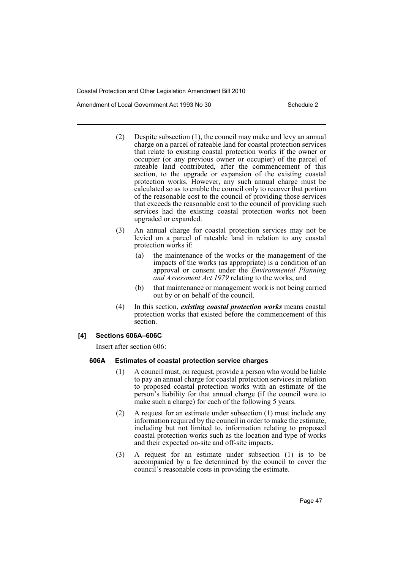Amendment of Local Government Act 1993 No 30 Schedule 2

- (2) Despite subsection (1), the council may make and levy an annual charge on a parcel of rateable land for coastal protection services that relate to existing coastal protection works if the owner or occupier (or any previous owner or occupier) of the parcel of rateable land contributed, after the commencement of this section, to the upgrade or expansion of the existing coastal protection works. However, any such annual charge must be calculated so as to enable the council only to recover that portion of the reasonable cost to the council of providing those services that exceeds the reasonable cost to the council of providing such services had the existing coastal protection works not been upgraded or expanded.
- (3) An annual charge for coastal protection services may not be levied on a parcel of rateable land in relation to any coastal protection works if:
	- (a) the maintenance of the works or the management of the impacts of the works (as appropriate) is a condition of an approval or consent under the *Environmental Planning and Assessment Act 1979* relating to the works, and
	- (b) that maintenance or management work is not being carried out by or on behalf of the council.
- (4) In this section, *existing coastal protection works* means coastal protection works that existed before the commencement of this section.

# **[4] Sections 606A–606C**

Insert after section 606:

# **606A Estimates of coastal protection service charges**

- (1) A council must, on request, provide a person who would be liable to pay an annual charge for coastal protection services in relation to proposed coastal protection works with an estimate of the person's liability for that annual charge (if the council were to make such a charge) for each of the following 5 years.
- (2) A request for an estimate under subsection (1) must include any information required by the council in order to make the estimate, including but not limited to, information relating to proposed coastal protection works such as the location and type of works and their expected on-site and off-site impacts.
- (3) A request for an estimate under subsection (1) is to be accompanied by a fee determined by the council to cover the council's reasonable costs in providing the estimate.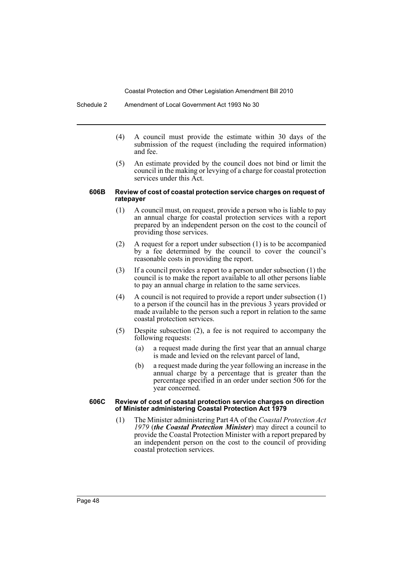- (4) A council must provide the estimate within 30 days of the submission of the request (including the required information) and fee.
- (5) An estimate provided by the council does not bind or limit the council in the making or levying of a charge for coastal protection services under this Act.

#### **606B Review of cost of coastal protection service charges on request of ratepayer**

- (1) A council must, on request, provide a person who is liable to pay an annual charge for coastal protection services with a report prepared by an independent person on the cost to the council of providing those services.
- (2) A request for a report under subsection (1) is to be accompanied by a fee determined by the council to cover the council's reasonable costs in providing the report.
- (3) If a council provides a report to a person under subsection (1) the council is to make the report available to all other persons liable to pay an annual charge in relation to the same services.
- (4) A council is not required to provide a report under subsection (1) to a person if the council has in the previous 3 years provided or made available to the person such a report in relation to the same coastal protection services.
- (5) Despite subsection (2), a fee is not required to accompany the following requests:
	- (a) a request made during the first year that an annual charge is made and levied on the relevant parcel of land,
	- (b) a request made during the year following an increase in the annual charge by a percentage that is greater than the percentage specified in an order under section 506 for the year concerned.

#### **606C Review of cost of coastal protection service charges on direction of Minister administering Coastal Protection Act 1979**

(1) The Minister administering Part 4A of the *Coastal Protection Act 1979* (*the Coastal Protection Minister*) may direct a council to provide the Coastal Protection Minister with a report prepared by an independent person on the cost to the council of providing coastal protection services.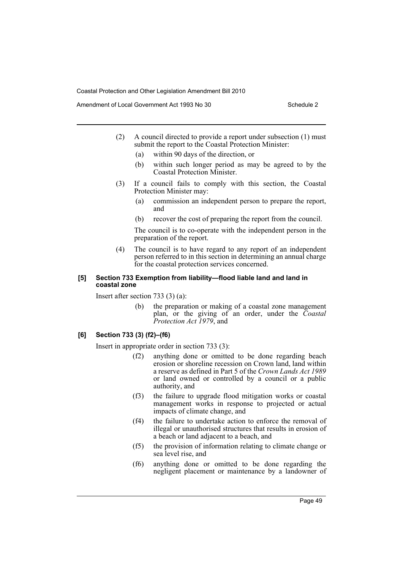Amendment of Local Government Act 1993 No 30 Schedule 2

- (2) A council directed to provide a report under subsection (1) must submit the report to the Coastal Protection Minister:
	- (a) within 90 days of the direction, or
	- (b) within such longer period as may be agreed to by the Coastal Protection Minister.
- (3) If a council fails to comply with this section, the Coastal Protection Minister may:
	- (a) commission an independent person to prepare the report, and
	- (b) recover the cost of preparing the report from the council.

The council is to co-operate with the independent person in the preparation of the report.

(4) The council is to have regard to any report of an independent person referred to in this section in determining an annual charge for the coastal protection services concerned.

### **[5] Section 733 Exemption from liability—flood liable land and land in coastal zone**

Insert after section 733 (3) (a):

(b) the preparation or making of a coastal zone management plan, or the giving of an order, under the *Coastal Protection Act 1979*, and

#### **[6] Section 733 (3) (f2)–(f6)**

Insert in appropriate order in section 733 (3):

- (f2) anything done or omitted to be done regarding beach erosion or shoreline recession on Crown land, land within a reserve as defined in Part 5 of the *Crown Lands Act 1989* or land owned or controlled by a council or a public authority, and
- (f3) the failure to upgrade flood mitigation works or coastal management works in response to projected or actual impacts of climate change, and
- (f4) the failure to undertake action to enforce the removal of illegal or unauthorised structures that results in erosion of a beach or land adjacent to a beach, and
- (f5) the provision of information relating to climate change or sea level rise, and
- (f6) anything done or omitted to be done regarding the negligent placement or maintenance by a landowner of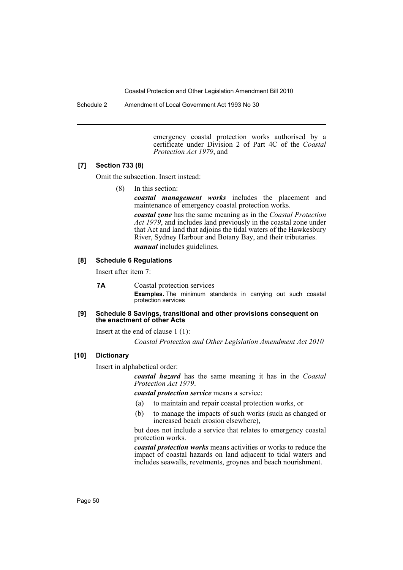Schedule 2 Amendment of Local Government Act 1993 No 30

emergency coastal protection works authorised by a certificate under Division 2 of Part 4C of the *Coastal Protection Act 1979*, and

# **[7] Section 733 (8)**

Omit the subsection. Insert instead:

(8) In this section:

*coastal management works* includes the placement and maintenance of emergency coastal protection works.

*coastal zone* has the same meaning as in the *Coastal Protection Act 1979*, and includes land previously in the coastal zone under that Act and land that adjoins the tidal waters of the Hawkesbury River, Sydney Harbour and Botany Bay, and their tributaries.

*manual* includes guidelines.

#### **[8] Schedule 6 Regulations**

Insert after item 7:

**7A** Coastal protection services **Examples.** The minimum standards in carrying out such coastal protection services

#### **[9] Schedule 8 Savings, transitional and other provisions consequent on the enactment of other Acts**

Insert at the end of clause 1 (1):

*Coastal Protection and Other Legislation Amendment Act 2010*

# **[10] Dictionary**

Insert in alphabetical order:

*coastal hazard* has the same meaning it has in the *Coastal Protection Act 1979*.

*coastal protection service* means a service:

- (a) to maintain and repair coastal protection works, or
- (b) to manage the impacts of such works (such as changed or increased beach erosion elsewhere),

but does not include a service that relates to emergency coastal protection works.

*coastal protection works* means activities or works to reduce the impact of coastal hazards on land adjacent to tidal waters and includes seawalls, revetments, groynes and beach nourishment.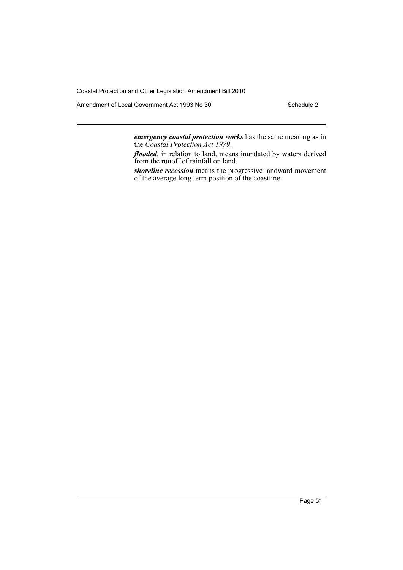Amendment of Local Government Act 1993 No 30 Schedule 2

*emergency coastal protection works* has the same meaning as in the *Coastal Protection Act 1979*.

*flooded*, in relation to land, means inundated by waters derived from the runoff of rainfall on land.

*shoreline recession* means the progressive landward movement of the average long term position of the coastline.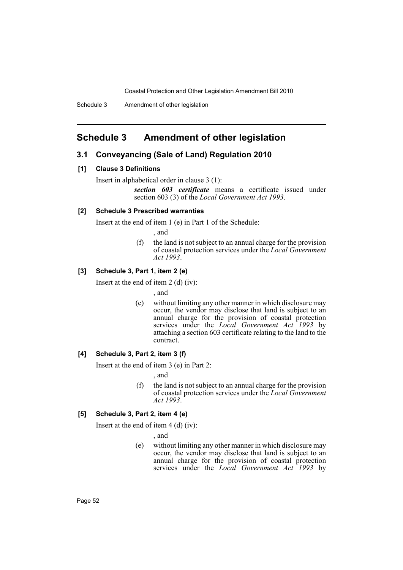# <span id="page-52-0"></span>**Schedule 3 Amendment of other legislation**

# **3.1 Conveyancing (Sale of Land) Regulation 2010**

#### **[1] Clause 3 Definitions**

Insert in alphabetical order in clause 3 (1):

*section 603 certificate* means a certificate issued under section 603 (3) of the *Local Government Act 1993*.

#### **[2] Schedule 3 Prescribed warranties**

Insert at the end of item 1 (e) in Part 1 of the Schedule:

, and

(f) the land is not subject to an annual charge for the provision of coastal protection services under the *Local Government Act 1993*.

# **[3] Schedule 3, Part 1, item 2 (e)**

Insert at the end of item 2 (d) (iv):

, and

(e) without limiting any other manner in which disclosure may occur, the vendor may disclose that land is subject to an annual charge for the provision of coastal protection services under the *Local Government Act 1993* by attaching a section 603 certificate relating to the land to the contract.

#### **[4] Schedule 3, Part 2, item 3 (f)**

Insert at the end of item 3 (e) in Part 2:

, and

(f) the land is not subject to an annual charge for the provision of coastal protection services under the *Local Government Act 1993*.

#### **[5] Schedule 3, Part 2, item 4 (e)**

Insert at the end of item 4 (d) (iv):

, and

(e) without limiting any other manner in which disclosure may occur, the vendor may disclose that land is subject to an annual charge for the provision of coastal protection services under the *Local Government Act 1993* by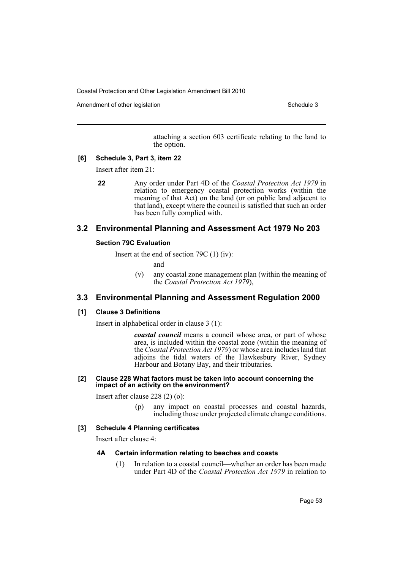Amendment of other legislation Schedule 3

attaching a section 603 certificate relating to the land to the option.

#### **[6] Schedule 3, Part 3, item 22**

Insert after item 21:

**22** Any order under Part 4D of the *Coastal Protection Act 1979* in relation to emergency coastal protection works (within the meaning of that Act) on the land (or on public land adjacent to that land), except where the council is satisfied that such an order has been fully complied with.

# **3.2 Environmental Planning and Assessment Act 1979 No 203**

#### **Section 79C Evaluation**

Insert at the end of section 79C (1) (iv):

and

(v) any coastal zone management plan (within the meaning of the *Coastal Protection Act 1979*),

# **3.3 Environmental Planning and Assessment Regulation 2000**

#### **[1] Clause 3 Definitions**

Insert in alphabetical order in clause 3 (1):

*coastal council* means a council whose area, or part of whose area, is included within the coastal zone (within the meaning of the *Coastal Protection Act 1979*) or whose area includes land that adjoins the tidal waters of the Hawkesbury River, Sydney Harbour and Botany Bay, and their tributaries.

#### **[2] Clause 228 What factors must be taken into account concerning the impact of an activity on the environment?**

Insert after clause 228 (2) (o):

(p) any impact on coastal processes and coastal hazards, including those under projected climate change conditions.

### **[3] Schedule 4 Planning certificates**

Insert after clause 4:

#### **4A Certain information relating to beaches and coasts**

(1) In relation to a coastal council—whether an order has been made under Part 4D of the *Coastal Protection Act 1979* in relation to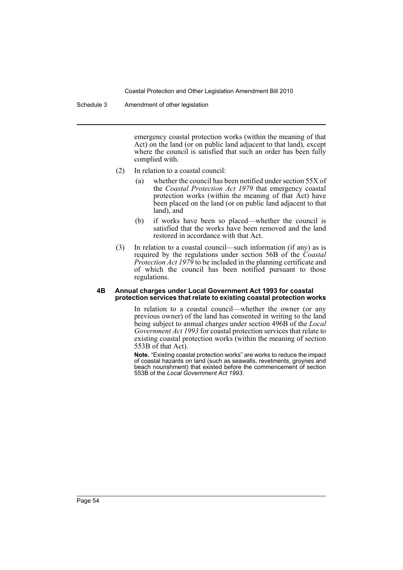Schedule 3 Amendment of other legislation

emergency coastal protection works (within the meaning of that Act) on the land (or on public land adjacent to that land), except where the council is satisfied that such an order has been fully complied with.

- (2) In relation to a coastal council:
	- (a) whether the council has been notified under section 55X of the *Coastal Protection Act 1979* that emergency coastal protection works (within the meaning of that Act) have been placed on the land (or on public land adjacent to that land), and
	- (b) if works have been so placed—whether the council is satisfied that the works have been removed and the land restored in accordance with that Act.
- (3) In relation to a coastal council—such information (if any) as is required by the regulations under section 56B of the *Coastal Protection Act 1979* to be included in the planning certificate and of which the council has been notified pursuant to those regulations.

#### **4B Annual charges under Local Government Act 1993 for coastal protection services that relate to existing coastal protection works**

In relation to a coastal council—whether the owner (or any previous owner) of the land has consented in writing to the land being subject to annual charges under section 496B of the *Local Government Act 1993* for coastal protection services that relate to existing coastal protection works (within the meaning of section 553B of that Act).

**Note.** "Existing coastal protection works" are works to reduce the impact of coastal hazards on land (such as seawalls, revetments, groynes and beach nourishment) that existed before the commencement of section 553B of the *Local Government Act 1993*.